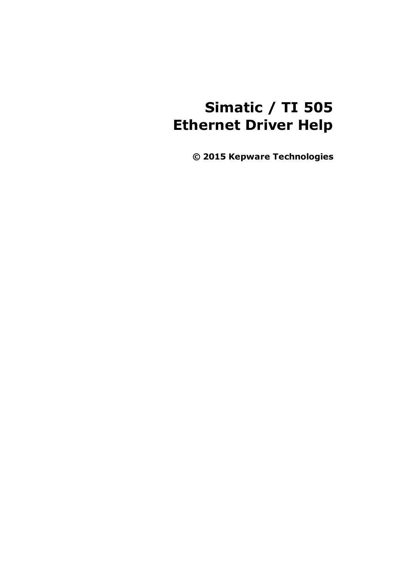# **Simatic / TI 505 Ethernet Driver Help**

**© 2015 Kepware Technologies**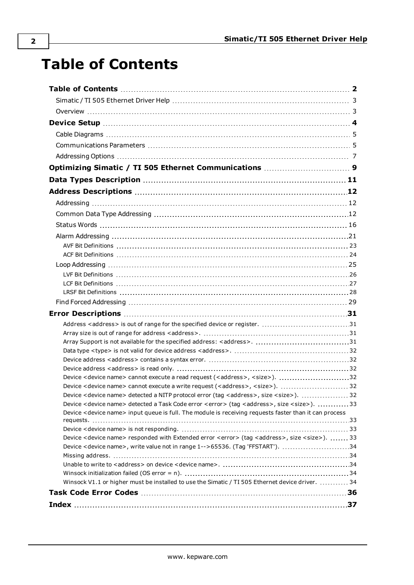# <span id="page-1-0"></span>**Table of Contents**

| Address <address> is out of range for the specified device or register. 31</address>                                          |  |
|-------------------------------------------------------------------------------------------------------------------------------|--|
|                                                                                                                               |  |
|                                                                                                                               |  |
|                                                                                                                               |  |
|                                                                                                                               |  |
| Device <device name=""> cannot execute a read request (<address>, <size>). 32</size></address></device>                       |  |
|                                                                                                                               |  |
| Device <device name=""> detected a NITP protocol error (tag <address>, size <size>).  32</size></address></device>            |  |
| Device <device name=""> detected a Task Code error <error> (tag <address>, size <size>). 33</size></address></error></device> |  |
| Device < device name> input queue is full. The module is receiving requests faster than it can process                        |  |
|                                                                                                                               |  |
| Device < device name> responded with Extended error < error> (tag < address>, size < size>).  33                              |  |
| Device <device name="">, write value not in range 1--&gt;65536. (Tag 'FFSTART'). 34</device>                                  |  |
|                                                                                                                               |  |
|                                                                                                                               |  |
| Winsock V1.1 or higher must be installed to use the Simatic / TI 505 Ethernet device driver.  34                              |  |
|                                                                                                                               |  |
|                                                                                                                               |  |
|                                                                                                                               |  |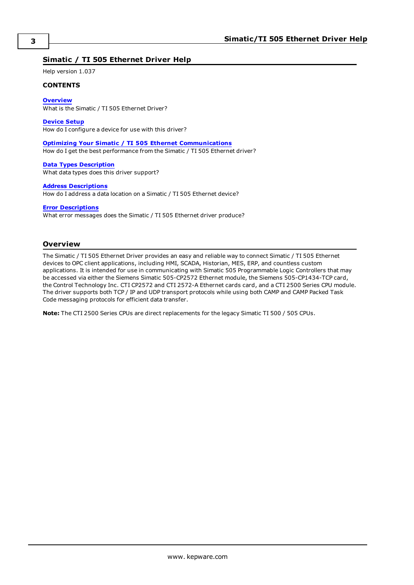### <span id="page-2-0"></span>**Simatic / TI 505 Ethernet Driver Help**

Help version 1.037

### **CONTENTS**

**[Overview](#page-2-1)**

What is the Simatic / TI 505 Ethernet Driver?

**[Device](#page-3-0) Setup**

How do I configure a device for use with this driver?

**Optimizing Your Simatic / TI 505 Ethernet [Communications](#page-8-0)** How do I get the best performance from the Simatic / TI 505 Ethernet driver?

**Data Types [Description](#page-10-0)** What data types does this driver support?

**Address [Descriptions](#page-11-0)**

How do I address a data location on a Simatic / TI 505 Ethernet device?

**Error [Descriptions](#page-30-0)**

What error messages does the Simatic / TI 505 Ethernet driver produce?

### <span id="page-2-1"></span>**Overview**

The Simatic / TI 505 Ethernet Driver provides an easy and reliable way to connect Simatic / TI 505 Ethernet devices to OPC client applications, including HMI, SCADA, Historian, MES, ERP, and countless custom applications. It is intended for use in communicating with Simatic 505 Programmable Logic Controllers that may be accessed via either the Siemens Simatic 505-CP2572 Ethernet module, the Siemens 505-CP1434-TCP card, the Control Technology Inc. CTI CP2572 and CTI 2572-A Ethernet cards card, and a CTI 2500 Series CPU module. The driver supports both TCP / IP and UDP transport protocols while using both CAMP and CAMP Packed Task Code messaging protocols for efficient data transfer.

**Note:** The CTI 2500 Series CPUs are direct replacements for the legacy Simatic TI 500 / 505 CPUs.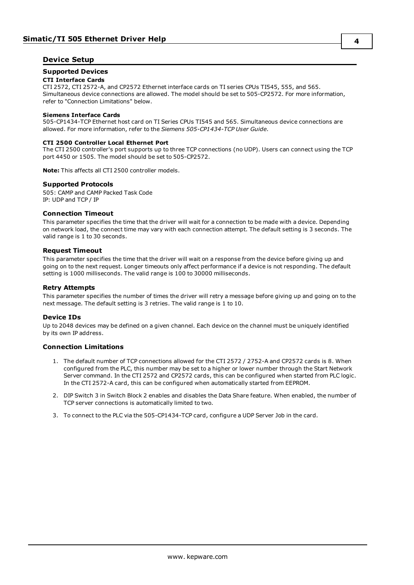### <span id="page-3-0"></span>**Device Setup**

### **Supported Devices**

### **CTI Interface Cards**

CTI 2572, CTI 2572-A, and CP2572 Ethernet interface cards on TI series CPUs TI545, 555, and 565. Simultaneous device connections are allowed. The model should be set to 505-CP2572. For more information, refer to "Connection Limitations" below.

#### **Siemens Interface Cards**

505-CP1434-TCP Ethernet host card on TI Series CPUs TI545 and 565. Simultaneous device connections are allowed. For more information, refer to the *Siemens 505-CP1434-TCP User Guide*.

#### **CTI 2500 Controller Local Ethernet Port**

The CTI 2500 controller's port supports up to three TCP connections (no UDP). Users can connect using the TCP port 4450 or 1505. The model should be set to 505-CP2572.

**Note:** This affects all CTI 2500 controller models.

### **Supported Protocols**

505: CAMP and CAMP Packed Task Code IP: UDP and TCP / IP

### <span id="page-3-2"></span>**Connection Timeout**

This parameter specifies the time that the driver will wait for a connection to be made with a device. Depending on network load, the connect time may vary with each connection attempt. The default setting is 3 seconds. The valid range is 1 to 30 seconds.

### **Request Timeout**

This parameter specifies the time that the driver will wait on a response from the device before giving up and going on to the next request. Longer timeouts only affect performance if a device is not responding. The default setting is 1000 milliseconds. The valid range is 100 to 30000 milliseconds.

### **Retry Attempts**

This parameter specifies the number of times the driver will retry a message before giving up and going on to the next message. The default setting is 3 retries. The valid range is 1 to 10.

### <span id="page-3-1"></span>**Device IDs**

Up to 2048 devices may be defined on a given channel. Each device on the channel must be uniquely identified by its own IP address.

### **Connection Limitations**

- 1. The default number of TCP connections allowed for the CTI 2572 / 2752-A and CP2572 cards is 8. When configured from the PLC, this number may be set to a higher or lower number through the Start Network Server command. In the CTI 2572 and CP2572 cards, this can be configured when started from PLC logic. In the CTI 2572-A card, this can be configured when automatically started from EEPROM.
- 2. DIP Switch 3 in Switch Block 2 enables and disables the Data Share feature. When enabled, the number of TCP server connections is automatically limited to two.
- 3. To connect to the PLC via the 505-CP1434-TCP card, configure a UDP Server Job in the card.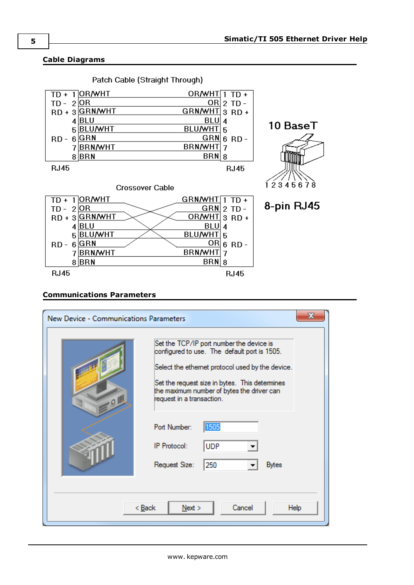### <span id="page-4-0"></span>**Cable Diagrams**



Patch Cable (Straight Through)

#### $TD - 2OR$  $GRN$  2 TD - $RD + 3$  GRN/WHT  $ORJWHT$  3 RD +  $BLU$  4  $4$ BLU BLU/WHT<sub>5</sub> 5 BLU/WHT <u>OR</u> 6 RD - $RD - 6$  GRN BRN/WHT 7 7BRN/WHT  $8$  BRN  $BRN|8$ **RJ45 RJ45**



8-pin RJ45

### <span id="page-4-1"></span>**Communications Parameters**

| New Device - Communications Parameters | Set the TCP/IP port number the device is<br>configured to use. The default port is 1505.<br>Select the ethemet protocol used by the device.<br>Set the request size in bytes. This determines<br>the maximum number of bytes the driver can<br>request in a transaction.<br>Port Number:<br>1505 |  |  |  |  |  |
|----------------------------------------|--------------------------------------------------------------------------------------------------------------------------------------------------------------------------------------------------------------------------------------------------------------------------------------------------|--|--|--|--|--|
|                                        | IP Protocol:<br><b>UDP</b><br>250<br>Request Size:<br><b>Bytes</b>                                                                                                                                                                                                                               |  |  |  |  |  |
| Cancel<br>< Back<br>Next ><br>Help     |                                                                                                                                                                                                                                                                                                  |  |  |  |  |  |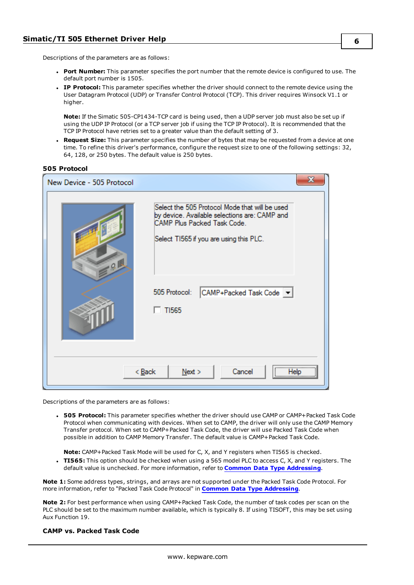Descriptions of the parameters are as follows:

- <sup>l</sup> **Port Number:** This parameter specifies the port number that the remote device is configured to use. The default port number is 1505.
- **IP Protocol:** This parameter specifies whether the driver should connect to the remote device using the User Datagram Protocol (UDP) or Transfer Control Protocol (TCP). This driver requires Winsock V1.1 or higher.

**Note:** If the Simatic 505-CP1434-TCP card is being used, then a UDP server job must also be set up if using the UDP IP Protocol (or a TCP server job if using the TCP IP Protocol). It is recommended that the TCP IP Protocol have retries set to a greater value than the default setting of 3.

<sup>l</sup> **Request Size:** This parameter specifies the number of bytes that may be requested from a device at one time. To refine this driver's performance, configure the request size to one of the following settings: 32, 64, 128, or 250 bytes. The default value is 250 bytes.

### <span id="page-5-0"></span>**505 Protocol**

| New Device - 505 Protocol                                    | х                                                                                                                                                                         |  |  |  |  |  |
|--------------------------------------------------------------|---------------------------------------------------------------------------------------------------------------------------------------------------------------------------|--|--|--|--|--|
| $-0$                                                         | Select the 505 Protocol Mode that will be used<br>by device. Available selections are: CAMP and<br>CAMP Plus Packed Task Code.<br>Select T1565 if you are using this PLC. |  |  |  |  |  |
|                                                              | 505 Protocol:<br>CAMP+Packed Task Code v<br>$T$ TI565                                                                                                                     |  |  |  |  |  |
| ,<br>Cancel<br>< <u>B</u> ack<br>Next<br>Help<br><del></del> |                                                                                                                                                                           |  |  |  |  |  |

Descriptions of the parameters are as follows:

<span id="page-5-1"></span>**• 505 Protocol:** This parameter specifies whether the driver should use CAMP or CAMP+Packed Task Code Protocol when communicating with devices. When set to CAMP, the driver will only use the CAMP Memory Transfer protocol. When set to CAMP+Packed Task Code, the driver will use Packed Task Code when possible in addition to CAMP Memory Transfer. The default value is CAMP+Packed Task Code.

**Note:** CAMP+Packed Task Mode will be used for C, X, and Y registers when TI565 is checked.

**TI565:** This option should be checked when using a 565 model PLC to access C, X, and Y registers. The default value is unchecked. For more information, refer to **Common Data Type [Addressing](#page-11-2)**.

**Note 1:** Some address types, strings, and arrays are not supported under the Packed Task Code Protocol. For more information, refer to "Packed Task Code Protocol" in **Common Data Type [Addressing](#page-11-2)**.

<span id="page-5-2"></span>**Note 2:** For best performance when using CAMP+Packed Task Code, the number of task codes per scan on the PLC should be set to the maximum number available, which is typically 8. If using TISOFT, this may be set using Aux Function 19.

### **CAMP vs. Packed Task Code**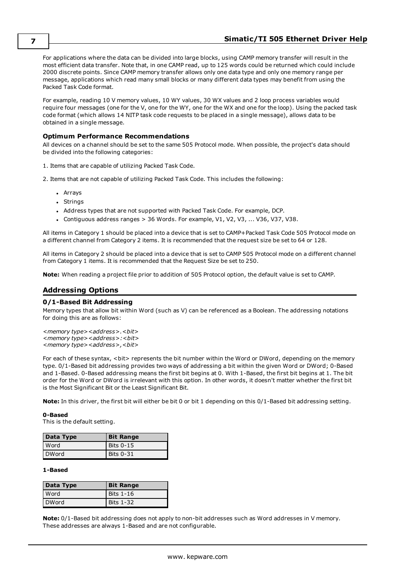For applications where the data can be divided into large blocks, using CAMP memory transfer will result in the most efficient data transfer. Note that, in one CAMP read, up to 125 words could be returned which could include 2000 discrete points. Since CAMP memory transfer allows only one data type and only one memory range per message, applications which read many small blocks or many different data types may benefit from using the Packed Task Code format.

<span id="page-6-1"></span>For example, reading 10 V memory values, 10 WY values, 30 WX values and 2 loop process variables would require four messages (one for the V, one for the WY, one for the WX and one for the loop). Using the packed task code format (which allows 14 NITP task code requests to be placed in a single message), allows data to be obtained in a single message.

### **Optimum Performance Recommendations**

All devices on a channel should be set to the same 505 Protocol mode. When possible, the project's data should be divided into the following categories:

1. Items that are capable of utilizing Packed Task Code.

2. Items that are not capable of utilizing Packed Task Code. This includes the following:

- Arrays
- Strings
- Address types that are not supported with Packed Task Code. For example, DCP.
- Contiguous address ranges  $> 36$  Words. For example, V1, V2, V3, ... V36, V37, V38.

All items in Category 1 should be placed into a device that is set to CAMP+Packed Task Code 505 Protocol mode on a different channel from Category 2 items. It is recommended that the request size be set to 64 or 128.

All items in Category 2 should be placed into a device that is set to CAMP 505 Protocol mode on a different channel from Category 1 items. It is recommended that the Request Size be set to 250.

<span id="page-6-0"></span>**Note:** When reading a project file prior to addition of 505 Protocol option, the default value is set to CAMP.

### **Addressing Options**

### **0/1-Based Bit Addressing**

Memory types that allow bit within Word (such as V) can be referenced as a Boolean. The addressing notations for doing this are as follows:

*<memory type><address>.<bit> <memory type><address>:<bit> <memory type><address>,<bit>*

For each of these syntax, <bit> represents the bit number within the Word or DWord, depending on the memory type. 0/1-Based bit addressing provides two ways of addressing a bit within the given Word or DWord; 0-Based and 1-Based. 0-Based addressing means the first bit begins at 0. With 1-Based, the first bit begins at 1. The bit order for the Word or DWord is irrelevant with this option. In other words, it doesn't matter whether the first bit is the Most Significant Bit or the Least Significant Bit.

**Note:** In this driver, the first bit will either be bit 0 or bit 1 depending on this 0/1-Based bit addressing setting.

#### **0-Based**

This is the default setting.

| Data Type    | <b>Bit Range</b> |
|--------------|------------------|
| Word         | Bits 0-15        |
| <b>DWord</b> | Bits 0-31        |

### **1-Based**

| Data Type | <b>Bit Range</b> |
|-----------|------------------|
| Word      | <b>Bits 1-16</b> |
| DWord     | Bits 1-32        |

**Note:** 0/1-Based bit addressing does not apply to non-bit addresses such as Word addresses in V memory. These addresses are always 1-Based and are not configurable.

**7**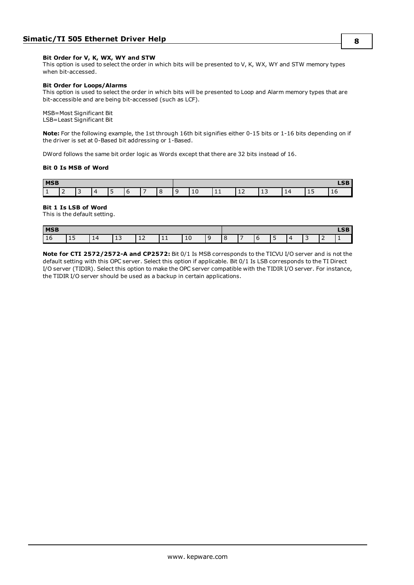#### **Bit Order for V, K, WX, WY and STW**

This option is used to select the order in which bits will be presented to V, K, WX, WY and STW memory types when bit-accessed.

#### **Bit Order for Loops/Alarms**

This option is used to select the order in which bits will be presented to Loop and Alarm memory types that are bit-accessible and are being bit-accessed (such as LCF).

MSB=Most Significant Bit LSB=Least Significant Bit

**Note:** For the following example, the 1st through 16th bit signifies either 0-15 bits or 1-16 bits depending on if the driver is set at 0-Based bit addressing or 1-Based.

DWord follows the same bit order logic as Words except that there are 32 bits instead of 16.

#### **Bit 0 Is MSB of Word**

| <b>MSB</b> |   |       |   |  |   |   |  |   |    |           | $R_{\rm C}$<br>ᄖ |            |   |   |    |
|------------|---|-------|---|--|---|---|--|---|----|-----------|------------------|------------|---|---|----|
| ـــ        | - | - 100 | - |  | u | - |  | c | ⊥∪ | <b>++</b> | ᅩᄼ               | . .<br>-13 | ᅶ | ᅩ | ιv |

### **Bit 1 Is LSB of Word**

This is the default setting.

| <b>MSB</b> |     |   |        |    |    |            |  |    |  | $- -$<br>►つ⊾ |   |  |
|------------|-----|---|--------|----|----|------------|--|----|--|--------------|---|--|
| .<br>TO    | ∸ ~ | ᆠ | -<br>ᅩ | ᅩᅩ | ᆠᆂ | <b>. .</b> |  | -- |  |              | - |  |

**Note for CTI 2572/2572-A and CP2572:** Bit 0/1 Is MSB corresponds to the TICVU I/O server and is not the default setting with this OPC server. Select this option if applicable. Bit 0/1 Is LSB corresponds to the TI Direct I/O server (TIDIR). Select this option to make the OPC server compatible with the TIDIR I/O server. For instance, the TIDIR I/O server should be used as a backup in certain applications.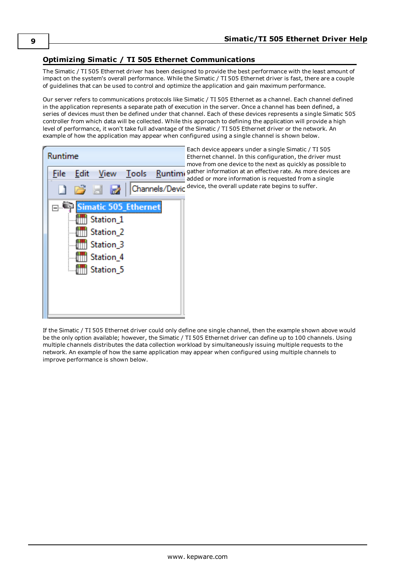### <span id="page-8-0"></span>**Optimizing Simatic / TI 505 Ethernet Communications**

The Simatic / TI 505 Ethernet driver has been designed to provide the best performance with the least amount of impact on the system's overall performance. While the Simatic / TI 505 Ethernet driver is fast, there are a couple of guidelines that can be used to control and optimize the application and gain maximum performance.

Our server refers to communications protocols like Simatic / TI 505 Ethernet as a channel. Each channel defined in the application represents a separate path of execution in the server. Once a channel has been defined, a series of devices must then be defined under that channel. Each of these devices represents a single Simatic 505 controller from which data will be collected. While this approach to defining the application will provide a high level of performance, it won't take full advantage of the Simatic / TI 505 Ethernet driver or the network. An example of how the application may appear when configured using a single channel is shown below.



Each device appears under a single Simatic / TI 505 Ethernet channel. In this configuration, the driver must move from one device to the next as quickly as possible to Runtimi gather information at an effective rate. As more devices are added or more information is requested from a single Channels/Device, the overall update rate begins to suffer.

If the Simatic / TI 505 Ethernet driver could only define one single channel, then the example shown above would be the only option available; however, the Simatic / TI 505 Ethernet driver can define up to 100 channels. Using multiple channels distributes the data collection workload by simultaneously issuing multiple requests to the network. An example of how the same application may appear when configured using multiple channels to improve performance is shown below.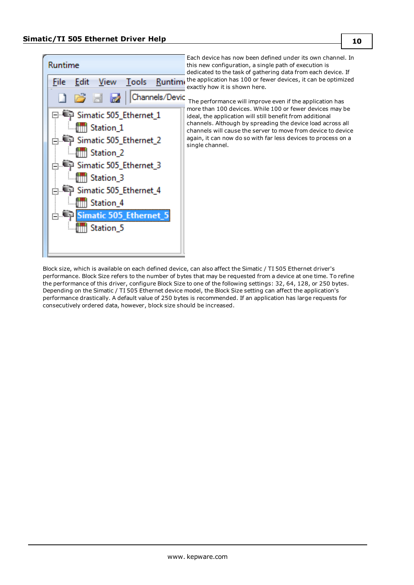

Block size, which is available on each defined device, can also affect the Simatic / TI 505 Ethernet driver's performance. Block Size refers to the number of bytes that may be requested from a device at one time. To refine the performance of this driver, configure Block Size to one of the following settings: 32, 64, 128, or 250 bytes. Depending on the Simatic / TI 505 Ethernet device model, the Block Size setting can affect the application's performance drastically. A default value of 250 bytes is recommended. If an application has large requests for consecutively ordered data, however, block size should be increased.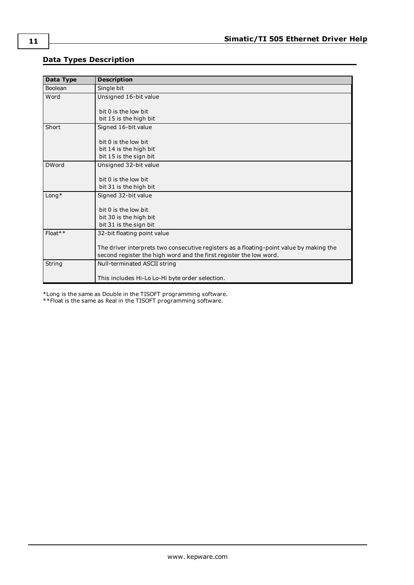## <span id="page-10-0"></span>**Data Types Description**

<span id="page-10-6"></span><span id="page-10-5"></span><span id="page-10-2"></span><span id="page-10-1"></span>

| Data Type    | <b>Description</b>                                                                      |
|--------------|-----------------------------------------------------------------------------------------|
| Boolean      | Single bit                                                                              |
| Word         | Unsigned 16-bit value                                                                   |
|              |                                                                                         |
|              | bit 0 is the low bit                                                                    |
|              | bit 15 is the high bit                                                                  |
| Short        | Signed 16-bit value                                                                     |
|              |                                                                                         |
|              | bit 0 is the low bit                                                                    |
|              | bit 14 is the high bit                                                                  |
|              | bit 15 is the sign bit                                                                  |
| <b>DWord</b> | Unsigned 32-bit value                                                                   |
|              |                                                                                         |
|              | $bit$ 0 is the low bit                                                                  |
|              | bit 31 is the high bit                                                                  |
| $L$ ong $*$  | Signed 32-bit value                                                                     |
|              |                                                                                         |
|              | bit 0 is the low bit                                                                    |
|              | bit 30 is the high bit                                                                  |
|              | bit 31 is the sign bit                                                                  |
| $Float**$    | 32-bit floating point value                                                             |
|              |                                                                                         |
|              | The driver interprets two consecutive registers as a floating-point value by making the |
|              | second register the high word and the first register the low word.                      |
| String       | Null-terminated ASCII string                                                            |
|              |                                                                                         |
|              | This includes Hi-Lo Lo-Hi byte order selection.                                         |

<span id="page-10-4"></span><span id="page-10-3"></span>\*Long is the same as Double in the TISOFT programming software.

\*\*Float is the same as Real in the TISOFT programming software.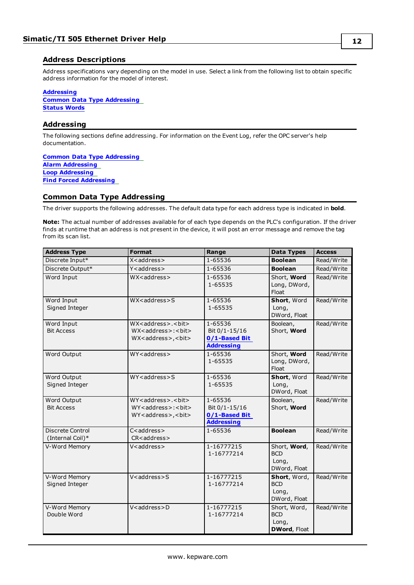### <span id="page-11-0"></span>**Address Descriptions**

Address specifications vary depending on the model in use. Select a link from the following list to obtain specific address information for the model of interest.

### **[Addressing](#page-11-1)**

**Common Data Type [Addressing](#page-11-2) [Status](#page-15-0) Words**

### <span id="page-11-1"></span>**Addressing**

The following sections define addressing. For information on the Event Log, refer the OPC server's help documentation.

**Common Data Type [Addressing](#page-11-2) Alarm [Addressing](#page-20-0) Loop [Addressing](#page-24-0) Find Forced [Addressing](#page-28-0)**

### <span id="page-11-2"></span>**Common Data Type Addressing**

The driver supports the following addresses. The default data type for each address type is indicated in **bold**.

**Note:** The actual number of addresses available for of each type depends on the PLC's configuration. If the driver finds at runtime that an address is not present in the device, it will post an error message and remove the tag from its scan list.

| <b>Address Type</b>                  | <b>Format</b>                                                                                                                 | Range                                                          | <b>Data Types</b>                                          | <b>Access</b> |
|--------------------------------------|-------------------------------------------------------------------------------------------------------------------------------|----------------------------------------------------------------|------------------------------------------------------------|---------------|
| Discrete Input*                      | X <address></address>                                                                                                         | 1-65536                                                        | <b>Boolean</b>                                             | Read/Write    |
| Discrete Output*                     | Y <address></address>                                                                                                         | 1-65536                                                        | <b>Boolean</b>                                             | Read/Write    |
| Word Input                           | WX <address></address>                                                                                                        | 1-65536<br>1-65535                                             | Short, Word<br>Long, DWord,<br>Float                       | Read/Write    |
| Word Input<br>Signed Integer         | WX <address>S</address>                                                                                                       | 1-65536<br>1-65535                                             | Short, Word<br>Long,<br>DWord, Float                       | Read/Write    |
| Word Input<br><b>Bit Access</b>      | WX <address>.<br/>&gt;bit&gt;<br/>WX<address>:<br/>&gt;bit&gt;<br>WX<address>,<br/>bit&gt;</address></br></address></address> | 1-65536<br>Bit 0/1-15/16<br>0/1-Based Bit<br><b>Addressing</b> | Boolean,<br>Short, Word                                    | Read/Write    |
| Word Output                          | WY <address></address>                                                                                                        | 1-65536<br>1-65535                                             | Short, Word<br>Long, DWord,<br>Float                       | Read/Write    |
| Word Output<br>Signed Integer        | $WY$ < address > S                                                                                                            | 1-65536<br>1-65535                                             | Short, Word<br>Long,<br>DWord, Float                       | Read/Write    |
| Word Output<br><b>Bit Access</b>     | WY <address>.<br/>&gt;bit&gt;<br/>WY<address>:<br/>&gt;bit&gt;<br>WY<address>,<br/>bit&gt;</address></br></address></address> | 1-65536<br>Bit 0/1-15/16<br>0/1-Based Bit<br><b>Addressing</b> | Boolean,<br>Short, Word                                    | Read/Write    |
| Discrete Control<br>(Internal Coil)* | C <address><br/>CR<address></address></address>                                                                               | 1-65536                                                        | <b>Boolean</b>                                             | Read/Write    |
| V-Word Memory                        | V <address></address>                                                                                                         | 1-16777215<br>1-16777214                                       | Short, Word,<br><b>BCD</b><br>Long,<br>DWord, Float        | Read/Write    |
| V-Word Memory<br>Signed Integer      | V <address>S</address>                                                                                                        | 1-16777215<br>1-16777214                                       | Short, Word,<br><b>BCD</b><br>Long,<br>DWord, Float        | Read/Write    |
| V-Word Memory<br>Double Word         | V <address>D</address>                                                                                                        | 1-16777215<br>1-16777214                                       | Short, Word,<br><b>BCD</b><br>Long,<br><b>DWord, Float</b> | Read/Write    |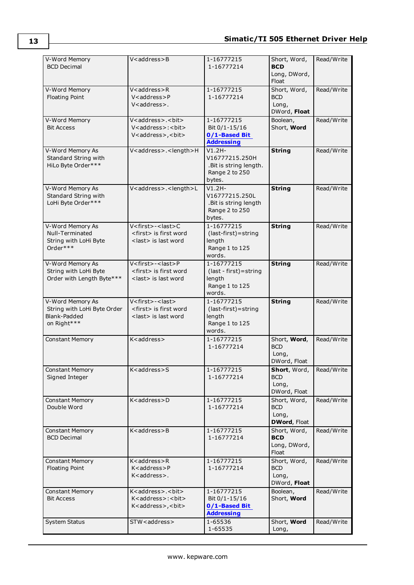| V-Word Memory                                      | V <address>B</address>                                       | 1-16777215                               | Short, Word,               | Read/Write |
|----------------------------------------------------|--------------------------------------------------------------|------------------------------------------|----------------------------|------------|
| <b>BCD Decimal</b>                                 |                                                              | 1-16777214                               | <b>BCD</b>                 |            |
|                                                    |                                                              |                                          | Long, DWord,<br>Float      |            |
| V-Word Memory                                      | V <address>R</address>                                       | 1-16777215                               | Short, Word,               | Read/Write |
| <b>Floating Point</b>                              | V <address>P</address>                                       | 1-16777214                               | <b>BCD</b>                 |            |
|                                                    | V <address>.</address>                                       |                                          | Long,                      |            |
|                                                    |                                                              |                                          | DWord, Float               |            |
| V-Word Memory                                      | V <address>.<bit></bit></address>                            | 1-16777215                               | Boolean,                   | Read/Write |
| <b>Bit Access</b>                                  | V <address>:<br/>&gt;bit&gt;</address>                       | Bit 0/1-15/16                            | Short, Word                |            |
|                                                    | V <address>, <br/>bit&gt;</address>                          | 0/1-Based Bit                            |                            |            |
|                                                    |                                                              | <b>Addressing</b>                        |                            |            |
| V-Word Memory As                                   | V <address>.<length>H</length></address>                     | $V1.2H-$                                 | <b>String</b>              | Read/Write |
| Standard String with                               |                                                              | V16777215.250H                           |                            |            |
| HiLo Byte Order***                                 |                                                              | .Bit is string length.<br>Range 2 to 250 |                            |            |
|                                                    |                                                              | bytes.                                   |                            |            |
| V-Word Memory As                                   | V <address>.<length>L</length></address>                     | $V1.2H-$                                 | <b>String</b>              | Read/Write |
| Standard String with                               |                                                              | V16777215.250L                           |                            |            |
| LoHi Byte Order***                                 |                                                              | .Bit is string length                    |                            |            |
|                                                    |                                                              | Range 2 to 250                           |                            |            |
|                                                    |                                                              | bytes.                                   |                            |            |
| V-Word Memory As                                   | V <first>-<last>C</last></first>                             | 1-16777215                               | <b>String</b>              | Read/Write |
| Null-Terminated                                    | <first> is first word</first>                                | (last-first)=string                      |                            |            |
| String with LoHi Byte                              | <last> is last word</last>                                   | length                                   |                            |            |
| Order***                                           |                                                              | Range 1 to 125                           |                            |            |
|                                                    |                                                              | words.                                   |                            |            |
| V-Word Memory As                                   | V <first>-<last>P</last></first>                             | 1-16777215                               | <b>String</b>              | Read/Write |
| String with LoHi Byte<br>Order with Length Byte*** | <first> is first word<br/><last> is last word</last></first> | (last - first) = string<br>length        |                            |            |
|                                                    |                                                              | Range 1 to 125                           |                            |            |
|                                                    |                                                              | words.                                   |                            |            |
| V-Word Memory As                                   | V <first>-<last></last></first>                              | 1-16777215                               | <b>String</b>              | Read/Write |
|                                                    |                                                              |                                          |                            |            |
| String with LoHi Byte Order                        | <first> is first word</first>                                |                                          |                            |            |
| Blank-Padded                                       | <last> is last word</last>                                   | (last-first)=string<br>length            |                            |            |
| on Right***                                        |                                                              | Range 1 to 125                           |                            |            |
|                                                    |                                                              | words.                                   |                            |            |
| <b>Constant Memory</b>                             | K <address></address>                                        | 1-16777215                               | Short, Word,               | Read/Write |
|                                                    |                                                              | 1-16777214                               | <b>BCD</b>                 |            |
|                                                    |                                                              |                                          | Long,                      |            |
|                                                    |                                                              |                                          | DWord, Float               |            |
| <b>Constant Memory</b>                             | K <address>S</address>                                       | 1-16777215                               | Short, Word,               | Read/Write |
| Signed Integer                                     |                                                              | 1-16777214                               | <b>BCD</b>                 |            |
|                                                    |                                                              |                                          | Long,                      |            |
|                                                    | K <address>D</address>                                       | 1-16777215                               | DWord, Float               |            |
| <b>Constant Memory</b><br>Double Word              |                                                              | 1-16777214                               | Short, Word,<br><b>BCD</b> | Read/Write |
|                                                    |                                                              |                                          | Long,                      |            |
|                                                    |                                                              |                                          | <b>DWord, Float</b>        |            |
| <b>Constant Memory</b>                             | K <address>B</address>                                       | 1-16777215                               | Short, Word,               | Read/Write |
| <b>BCD Decimal</b>                                 |                                                              | 1-16777214                               | <b>BCD</b>                 |            |
|                                                    |                                                              |                                          | Long, DWord,               |            |
|                                                    |                                                              |                                          | Float                      |            |
| <b>Constant Memory</b>                             | K <address>R</address>                                       | 1-16777215                               | Short, Word,               | Read/Write |
| <b>Floating Point</b>                              | K <address>P<br/>K<address>.</address></address>             | 1-16777214                               | <b>BCD</b>                 |            |
|                                                    |                                                              |                                          | Long,<br>DWord, Float      |            |
| <b>Constant Memory</b>                             | K <address>.<bit></bit></address>                            | 1-16777215                               | Boolean,                   | Read/Write |
| <b>Bit Access</b>                                  | K <address>:<br/>&gt;bit&gt;</address>                       | Bit 0/1-15/16                            | Short, Word                |            |
|                                                    | K <address>, <br/>bit&gt;</address>                          | 0/1-Based Bit                            |                            |            |
|                                                    |                                                              | <b>Addressing</b>                        |                            |            |
| <b>System Status</b>                               | STW <address></address>                                      | 1-65536<br>1-65535                       | Short, Word<br>Long,       | Read/Write |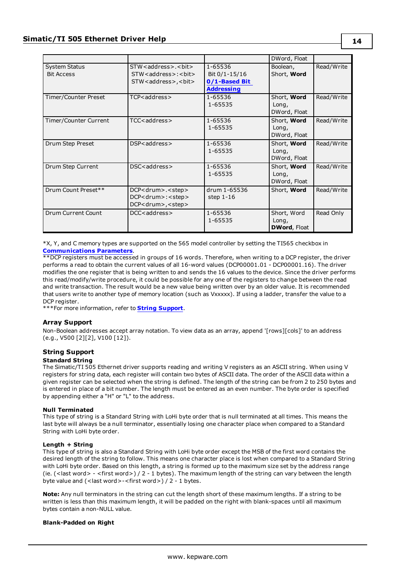|                                           |                                                                                                                                      |                                                                | DWord, Float                                |            |
|-------------------------------------------|--------------------------------------------------------------------------------------------------------------------------------------|----------------------------------------------------------------|---------------------------------------------|------------|
| <b>System Status</b><br><b>Bit Access</b> | STW <address>.<br/>&gt;bit&gt;<br/>STW<address>:<br/>&gt;bit&gt;<br>STW<address>,<br/>&gt;bit&gt;</address></br></address></address> | 1-65536<br>Bit 0/1-15/16<br>0/1-Based Bit<br><b>Addressing</b> | Boolean,<br>Short, Word                     | Read/Write |
| Timer/Counter Preset                      | TCP <address></address>                                                                                                              | 1-65536<br>1-65535                                             | Short, Word<br>Long,<br>DWord, Float        | Read/Write |
| Timer/Counter Current                     | TCC <address></address>                                                                                                              | 1-65536<br>1-65535                                             | Short, Word<br>Long,<br>DWord, Float        | Read/Write |
| Drum Step Preset                          | DSP <address></address>                                                                                                              | 1-65536<br>1-65535                                             | Short, Word<br>Long,<br>DWord, Float        | Read/Write |
| Drum Step Current                         | DSC <address></address>                                                                                                              | 1-65536<br>1-65535                                             | Short, Word<br>Long,<br>DWord, Float        | Read/Write |
| Drum Count Preset**                       | DCP <drum>.<step><br/>DCP<drum>:<step><br/>DCP<drum>,<step></step></drum></step></drum></step></drum>                                | drum 1-65536<br>step $1-16$                                    | Short, Word                                 | Read/Write |
| Drum Current Count                        | DCC <address></address>                                                                                                              | 1-65536<br>1-65535                                             | Short, Word<br>Long,<br><b>DWord, Float</b> | Read Only  |

\*X, Y, and C memory types are supported on the 565 model controller by setting the TI565 checkbox in **[Communications](#page-4-1) Parameters**.

\*\*DCP registers must be accessed in groups of 16 words. Therefore, when writing to a DCP register, the driver performs a read to obtain the current values of all 16-word values (DCP00001.01 - DCP00001.16). The driver modifies the one register that is being written to and sends the 16 values to the device. Since the driver performs this read/modify/write procedure, it could be possible for any one of the registers to change between the read and write transaction. The result would be a new value being written over by an older value. It is recommended that users write to another type of memory location (such as Vxxxxx). If using a ladder, transfer the value to a DCP register.

\*\*\*For more information, refer to **String [Support](#page-13-0)**.

### **Array Support**

<span id="page-13-0"></span>Non-Boolean addresses accept array notation. To view data as an array, append '[rows][cols]' to an address (e.g., V500 [2][2], V100 [12]).

# **String Support**

### **Standard String**

The Simatic/TI 505 Ethernet driver supports reading and writing V registers as an ASCII string. When using V registers for string data, each register will contain two bytes of ASCII data. The order of the ASCII data within a given register can be selected when the string is defined. The length of the string can be from 2 to 250 bytes and is entered in place of a bit number. The length must be entered as an even number. The byte order is specified by appending either a "H" or "L" to the address.

### **Null Terminated**

This type of string is a Standard String with LoHi byte order that is null terminated at all times. This means the last byte will always be a null terminator, essentially losing one character place when compared to a Standard String with LoHi byte order.

### **Length + String**

This type of string is also a Standard String with LoHi byte order except the MSB of the first word contains the desired length of the string to follow. This means one character place is lost when compared to a Standard String with LoHi byte order. Based on this length, a string is formed up to the maximum size set by the address range (ie. (<last word> - <first word>) / 2 - 1 bytes). The maximum length of the string can vary between the length byte value and (<last word>-<first word>) / 2 - 1 bytes.

**Note:** Any null terminators in the string can cut the length short of these maximum lengths. If a string to be written is less than this maximum length, it will be padded on the right with blank-spaces until all maximum bytes contain a non-NULL value.

### **Blank-Padded on Right**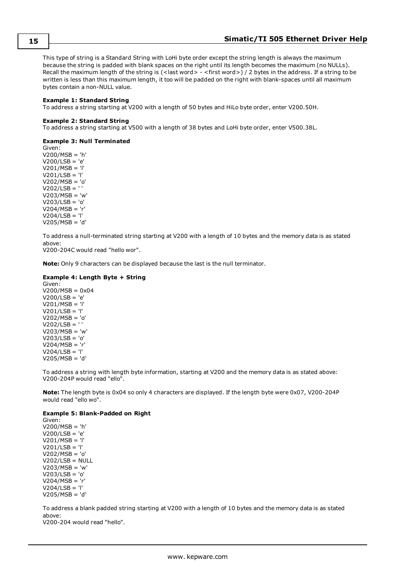This type of string is a Standard String with LoHi byte order except the string length is always the maximum because the string is padded with blank spaces on the right until its length becomes the maximum (no NULLs). Recall the maximum length of the string is (<last word> - <first word>) / 2 bytes in the address. If a string to be written is less than this maximum length, it too will be padded on the right with blank-spaces until all maximum bytes contain a non-NULL value.

#### **Example 1: Standard String**

To address a string starting at V200 with a length of 50 bytes and HiLo byte order, enter V200.50H.

#### **Example 2: Standard String**

To address a string starting at V500 with a length of 38 bytes and LoHi byte order, enter V500.38L.

#### **Example 3: Null Terminated**

Given: V200/MSB = 'h' V200/LSB = 'e' V201/MSB = 'l' V201/LSB = 'l' V202/MSB = 'o' V202/LSB = ' ' V203/MSB = 'w' V203/LSB = 'o' V204/MSB = 'r'  $V204/LSB = 'l'$ V205/MSB = 'd'

To address a null-terminated string starting at V200 with a length of 10 bytes and the memory data is as stated above:

V200-204C would read "hello wor".

**Note:** Only 9 characters can be displayed because the last is the null terminator.

### **Example 4: Length Byte + String**

Given: V200/MSB = 0x04 V200/LSB = 'e' V201/MSB = 'l' V201/LSB = 'l' V202/MSB = 'o'  $V202/LSB = '$ V203/MSB = 'w' V203/LSB = 'o' V204/MSB = 'r'  $V204/LSB = 'l'$ V205/MSB = 'd'

To address a string with length byte information, starting at V200 and the memory data is as stated above: V200-204P would read "ello".

**Note:** The length byte is 0x04 so only 4 characters are displayed. If the length byte were 0x07, V200-204P would read "ello wo".

### **Example 5: Blank-Padded on Right**

Given: V200/MSB = 'h' V200/LSB = 'e' V201/MSB = 'l' V201/LSB = 'l' V202/MSB = 'o'  $V202/LSB = NULL$ V203/MSB = 'w' V203/LSB = 'o' V204/MSB = 'r' V204/LSB = 'l' V205/MSB = 'd'

To address a blank padded string starting at V200 with a length of 10 bytes and the memory data is as stated above:

V200-204 would read "hello".

**15**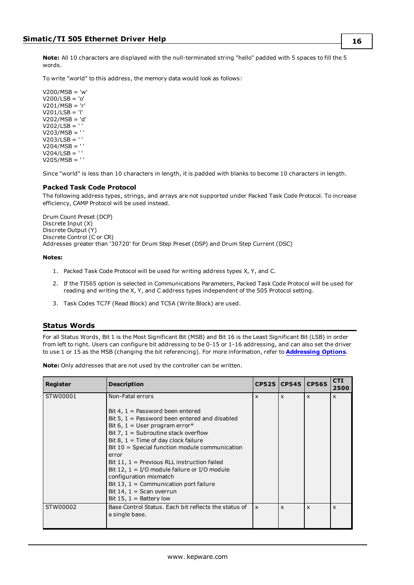To write "world" to this address, the memory data would look as follows:

 $V200/MSB = 'w'$ V200/LSB = 'o' V201/MSB = 'r'  $V201/LSB = 'l'$ V202/MSB = 'd' V202/LSB = ' ' V203/MSB = ' ' V203/LSB = ' ' V204/MSB = ' ' V204/LSB = ' ' V205/MSB = ' '

Since "world" is less than 10 characters in length, it is padded with blanks to become 10 characters in length.

### **Packed Task Code Protocol**

The following address types, strings, and arrays are not supported under Packed Task Code Protocol. To increase efficiency, CAMP Protocol will be used instead.

Drum Count Preset (DCP) Discrete Input (X) Discrete Output (Y) Discrete Control (C or CR) Addresses greater than '30720' for Drum Step Preset (DSP) and Drum Step Current (DSC)

### **Notes:**

- 1. Packed Task Code Protocol will be used for writing address types X, Y, and C.
- 2. If the TI565 option is selected in Communications Parameters, Packed Task Code Protocol will be used for reading and writing the X, Y, and C address types independent of the 505 Protocol setting.
- 3. Task Codes TC7F (Read Block) and TC5A (Write Block) are used.

### <span id="page-15-0"></span>**Status Words**

For all Status Words, Bit 1 is the Most Significant Bit (MSB) and Bit 16 is the Least Significant Bit (LSB) in order from left to right. Users can configure bit addressing to be 0-15 or 1-16 addressing, and can also set the driver to use 1 or 15 as the MSB (changing the bit referencing). For more information, refer to **[Addressing](#page-6-0) Options**.

**Note:** Only addresses that are not used by the controller can be written.

| Register | <b>Description</b>                                                                                                                                                                                                                                                                                                                                                                                                                                                                                                                   |                           | CP525 CP545 CP565         |              | <b>CTI</b><br>2500        |
|----------|--------------------------------------------------------------------------------------------------------------------------------------------------------------------------------------------------------------------------------------------------------------------------------------------------------------------------------------------------------------------------------------------------------------------------------------------------------------------------------------------------------------------------------------|---------------------------|---------------------------|--------------|---------------------------|
| STW00001 | Non-Fatal errors<br>Bit 4, $1 =$ Password been entered<br>Bit 5, $1 =$ Password been entered and disabled<br>Bit 6, $1 =$ User program error*<br>Bit 7, $1 =$ Subroutine stack overflow<br>Bit 8, $1 =$ Time of day clock failure<br>Bit $10$ = Special function module communication<br>error<br>Bit 11, $1 =$ Previous RLL instruction failed<br>Bit 12, $1 = I/O$ module failure or $I/O$ module<br>configuration mismatch<br>Bit 13, $1 =$ Communication port failure<br>Bit 14, $1 =$ Scan overrun<br>Bit 15, $1 =$ Battery low | $\mathsf{x}$              | $\boldsymbol{\mathsf{x}}$ | $\mathsf{x}$ | $\mathsf{x}$              |
| STW00002 | Base Control Status. Each bit reflects the status of<br>a single base.                                                                                                                                                                                                                                                                                                                                                                                                                                                               | $\boldsymbol{\mathsf{x}}$ | $\boldsymbol{\mathsf{x}}$ | $\mathsf{x}$ | $\boldsymbol{\mathsf{x}}$ |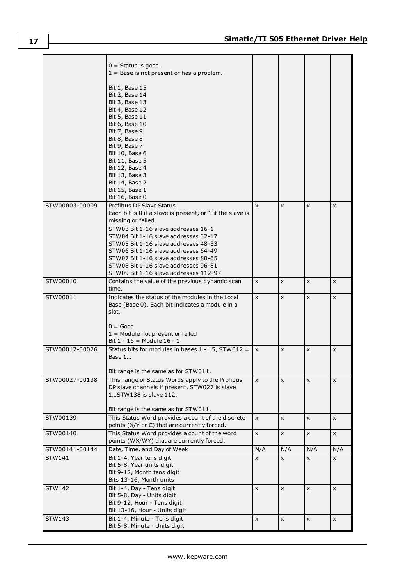|                          | $0 =$ Status is good.<br>$1 =$ Base is not present or has a problem.                                |              |              |     |     |
|--------------------------|-----------------------------------------------------------------------------------------------------|--------------|--------------|-----|-----|
|                          | Bit 1, Base 15                                                                                      |              |              |     |     |
|                          | Bit 2, Base 14                                                                                      |              |              |     |     |
|                          | Bit 3, Base 13<br>Bit 4, Base 12                                                                    |              |              |     |     |
|                          | Bit 5, Base 11                                                                                      |              |              |     |     |
|                          | Bit 6, Base 10<br>Bit 7, Base 9                                                                     |              |              |     |     |
|                          | Bit 8, Base 8                                                                                       |              |              |     |     |
|                          | Bit 9, Base 7<br>Bit 10, Base 6                                                                     |              |              |     |     |
|                          | Bit 11, Base 5                                                                                      |              |              |     |     |
|                          | Bit 12, Base 4                                                                                      |              |              |     |     |
|                          | Bit 13, Base 3<br>Bit 14, Base 2                                                                    |              |              |     |     |
|                          | Bit 15, Base 1                                                                                      |              |              |     |     |
|                          | Bit 16, Base 0                                                                                      |              |              |     |     |
| STW00003-00009           | Profibus DP Slave Status<br>Each bit is 0 if a slave is present, or 1 if the slave is               | X            | x            | X   | X   |
|                          | missing or failed.                                                                                  |              |              |     |     |
|                          | STW03 Bit 1-16 slave addresses 16-1                                                                 |              |              |     |     |
|                          | STW04 Bit 1-16 slave addresses 32-17<br>STW05 Bit 1-16 slave addresses 48-33                        |              |              |     |     |
|                          | STW06 Bit 1-16 slave addresses 64-49                                                                |              |              |     |     |
|                          | STW07 Bit 1-16 slave addresses 80-65                                                                |              |              |     |     |
|                          | STW08 Bit 1-16 slave addresses 96-81<br>STW09 Bit 1-16 slave addresses 112-97                       |              |              |     |     |
| STW00010                 | Contains the value of the previous dynamic scan                                                     | $\mathsf{x}$ | X            | x   | X   |
|                          | time.                                                                                               |              |              |     |     |
| STW00011                 | Indicates the status of the modules in the Local<br>Base (Base 0). Each bit indicates a module in a | X            | x            | X   | X   |
|                          | slot.                                                                                               |              |              |     |     |
|                          |                                                                                                     |              |              |     |     |
|                          | $0 = Good$<br>$1 =$ Module not present or failed                                                    |              |              |     |     |
|                          | Bit $1 - 16 =$ Module $16 - 1$                                                                      |              |              |     |     |
| STW00012-00026           | Status bits for modules in bases $1 - 15$ , STW012 =                                                | $\mathsf{x}$ | $\mathsf{x}$ | X   | X   |
|                          | Base $1$                                                                                            |              |              |     |     |
|                          | Bit range is the same as for STW011.                                                                |              |              |     |     |
| STW00027-00138           | This range of Status Words apply to the Profibus                                                    | $\mathsf{x}$ | X            | X   | X   |
|                          | DP slave channels if present. STW027 is slave<br>1STW138 is slave 112.                              |              |              |     |     |
|                          |                                                                                                     |              |              |     |     |
|                          | Bit range is the same as for STW011.                                                                |              |              |     |     |
| STW00139                 | This Status Word provides a count of the discrete<br>points (X/Y or C) that are currently forced.   | $\mathsf{x}$ | X            | X   | x   |
| STW00140                 | This Status Word provides a count of the word                                                       | $\mathsf{x}$ | X            | X   | X   |
|                          | points (WX/WY) that are currently forced.                                                           |              |              |     |     |
| STW00141-00144<br>STW141 | Date, Time, and Day of Week<br>Bit 1-4, Year tens digit                                             | N/A          | N/A          | N/A | N/A |
|                          | Bit 5-8, Year units digit                                                                           | X            | x            | X   | X   |
|                          | Bit 9-12, Month tens digit                                                                          |              |              |     |     |
|                          | Bits 13-16, Month units                                                                             |              |              |     |     |
| STW142                   | Bit 1-4, Day - Tens digit<br>Bit 5-8, Day - Units digit                                             | $\mathsf{x}$ | X            | X   | X   |
|                          | Bit 9-12, Hour - Tens digit                                                                         |              |              |     |     |
| STW143                   | Bit 13-16, Hour - Units digit<br>Bit 1-4, Minute - Tens digit                                       |              |              |     |     |
|                          | Bit 5-8, Minute - Units digit                                                                       | X            | X            | X   | X   |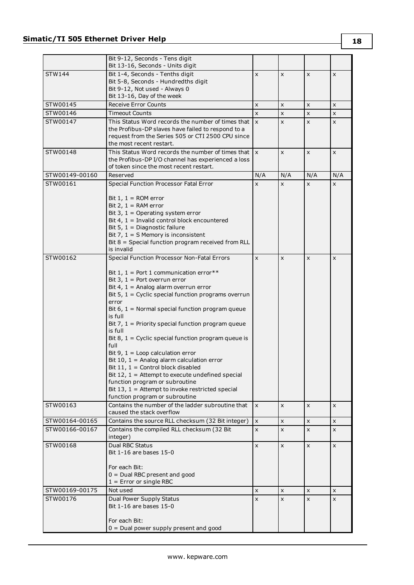|                | Bit 9-12, Seconds - Tens digit<br>Bit 13-16, Seconds - Units digit                            |                         |                |                |     |
|----------------|-----------------------------------------------------------------------------------------------|-------------------------|----------------|----------------|-----|
| <b>STW144</b>  | Bit 1-4, Seconds - Tenths digit                                                               | $\mathsf{x}$            | X              | X              | X   |
|                | Bit 5-8, Seconds - Hundredths digit                                                           |                         |                |                |     |
|                | Bit 9-12, Not used - Always 0                                                                 |                         |                |                |     |
|                | Bit 13-16, Day of the week                                                                    |                         |                |                |     |
| STW00145       | <b>Receive Error Counts</b>                                                                   | $\pmb{\times}$          | X              | X              | X   |
| STW00146       | <b>Timeout Counts</b>                                                                         | $\mathsf{x}$            | $\pmb{\times}$ | X              | X   |
| STW00147       | This Status Word records the number of times that                                             | $\mathsf{x}$            | X              | X              | X   |
|                | the Profibus-DP slaves have failed to respond to a                                            |                         |                |                |     |
|                | request from the Series 505 or CTI 2500 CPU since                                             |                         |                |                |     |
|                | the most recent restart.<br>This Status Word records the number of times that                 |                         |                |                |     |
| STW00148       | the Profibus-DP I/O channel has experienced a loss                                            | $\mathsf{I} \mathsf{X}$ | X              | X              | X   |
|                | of token since the most recent restart.                                                       |                         |                |                |     |
| STW00149-00160 | Reserved                                                                                      | N/A                     | N/A            | N/A            | N/A |
| STW00161       | Special Function Processor Fatal Error                                                        | X                       | x              | X              | X   |
|                |                                                                                               |                         |                |                |     |
|                | Bit $1, 1 = ROM error$                                                                        |                         |                |                |     |
|                | Bit 2, $1 = RAM error$                                                                        |                         |                |                |     |
|                | Bit 3, $1 =$ Operating system error                                                           |                         |                |                |     |
|                | Bit 4, $1 =$ Invalid control block encountered                                                |                         |                |                |     |
|                | Bit 5, $1 =$ Diagnostic failure                                                               |                         |                |                |     |
|                | Bit 7, $1 = S$ Memory is inconsistent<br>Bit $8 =$ Special function program received from RLL |                         |                |                |     |
|                | is invalid                                                                                    |                         |                |                |     |
| STW00162       | Special Function Processor Non-Fatal Errors                                                   | $\pmb{\times}$          | $\pmb{\times}$ | X              | X   |
|                |                                                                                               |                         |                |                |     |
|                | Bit 1, 1 = Port 1 communication error**                                                       |                         |                |                |     |
|                | Bit 3, $1 =$ Port overrun error                                                               |                         |                |                |     |
|                | Bit 4, $1 =$ Analog alarm overrun error                                                       |                         |                |                |     |
|                | Bit $5$ , $1$ = Cyclic special function programs overrun                                      |                         |                |                |     |
|                | error                                                                                         |                         |                |                |     |
|                | Bit $6, 1$ = Normal special function program queue<br>is full                                 |                         |                |                |     |
|                | Bit 7, $1$ = Priority special function program queue                                          |                         |                |                |     |
|                | is full                                                                                       |                         |                |                |     |
|                | Bit 8, $1 =$ Cyclic special function program queue is                                         |                         |                |                |     |
|                | full                                                                                          |                         |                |                |     |
|                | Bit 9, $1 =$ Loop calculation error                                                           |                         |                |                |     |
|                | Bit 10, $1 =$ Analog alarm calculation error                                                  |                         |                |                |     |
|                | Bit 11, $1 =$ Control block disabled<br>Bit 12, $1 =$ Attempt to execute undefined special    |                         |                |                |     |
|                | function program or subroutine                                                                |                         |                |                |     |
|                | Bit 13, $1 =$ Attempt to invoke restricted special                                            |                         |                |                |     |
|                | function program or subroutine                                                                |                         |                |                |     |
| STW00163       | Contains the number of the ladder subroutine that                                             | $\pmb{\times}$          | X              | X              | X   |
|                | caused the stack overflow                                                                     |                         |                |                |     |
| STW00164-00165 | Contains the source RLL checksum (32 Bit integer)                                             | $\pmb{\times}$          | $\pmb{\times}$ | $\pmb{\times}$ | x   |
| STW00166-00167 | Contains the compiled RLL checksum (32 Bit                                                    | $\mathsf{x}$            | $\mathsf{x}$   | X              | X   |
|                | integer)                                                                                      |                         |                |                |     |
| STW00168       | <b>Dual RBC Status</b>                                                                        | $\mathsf{x}$            | X              | X              | X   |
|                | Bit 1-16 are bases 15-0                                                                       |                         |                |                |     |
|                | For each Bit:                                                                                 |                         |                |                |     |
|                | $0 =$ Dual RBC present and good                                                               |                         |                |                |     |
|                | $1 =$ Error or single RBC                                                                     |                         |                |                |     |
| STW00169-00175 | Not used                                                                                      | X                       | X              | X              | X   |
| STW00176       | Dual Power Supply Status                                                                      | $\pmb{\times}$          | $\pmb{\times}$ | X              | X   |
|                | Bit 1-16 are bases 15-0                                                                       |                         |                |                |     |
|                |                                                                                               |                         |                |                |     |
|                | For each Bit:                                                                                 |                         |                |                |     |
|                | $0 =$ Dual power supply present and good                                                      |                         |                |                |     |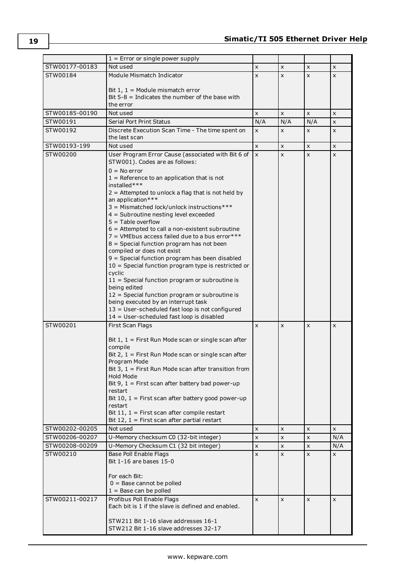|                | $1 =$ Error or single power supply                                                               |                |                |     |     |
|----------------|--------------------------------------------------------------------------------------------------|----------------|----------------|-----|-----|
| STW00177-00183 | Not used                                                                                         | X              | X              | X   | X   |
| STW00184       | Module Mismatch Indicator                                                                        | X              | X              | X   | X   |
|                |                                                                                                  |                |                |     |     |
|                | Bit $1, 1$ = Module mismatch error<br>Bit $5-8$ = Indicates the number of the base with          |                |                |     |     |
|                | the error                                                                                        |                |                |     |     |
| STW00185-00190 | Not used                                                                                         | X              | X              | X   | X   |
| STW00191       | Serial Port Print Status                                                                         | N/A            | N/A            | N/A | x   |
| STW00192       | Discrete Execution Scan Time - The time spent on                                                 | X              | X              | X   | X   |
|                | the last scan                                                                                    |                |                |     |     |
| STW00193-199   | Not used                                                                                         | $\pmb{\times}$ | x              | x   | X   |
| STW00200       | User Program Error Cause (associated with Bit 6 of                                               | $\pmb{\times}$ | X              | X   | x   |
|                | STW001). Codes are as follows:                                                                   |                |                |     |     |
|                | $0 = No error$                                                                                   |                |                |     |     |
|                | $1 =$ Reference to an application that is not                                                    |                |                |     |     |
|                | installed***                                                                                     |                |                |     |     |
|                | $2 =$ Attempted to unlock a flag that is not held by                                             |                |                |     |     |
|                | an application***<br>3 = Mismatched lock/unlock instructions***                                  |                |                |     |     |
|                | 4 = Subroutine nesting level exceeded                                                            |                |                |     |     |
|                | $5 =$ Table overflow                                                                             |                |                |     |     |
|                | $6$ = Attempted to call a non-existent subroutine                                                |                |                |     |     |
|                | $7$ = VMEbus access failed due to a bus error ***                                                |                |                |     |     |
|                | $8$ = Special function program has not been                                                      |                |                |     |     |
|                | compiled or does not exist<br>9 = Special function program has been disabled                     |                |                |     |     |
|                | 10 = Special function program type is restricted or                                              |                |                |     |     |
|                | cyclic                                                                                           |                |                |     |     |
|                | $11 =$ Special function program or subroutine is                                                 |                |                |     |     |
|                | being edited                                                                                     |                |                |     |     |
|                | 12 = Special function program or subroutine is                                                   |                |                |     |     |
|                | being executed by an interrupt task                                                              |                |                |     |     |
|                | 13 = User-scheduled fast loop is not configured<br>14 = User-scheduled fast loop is disabled     |                |                |     |     |
| STW00201       | First Scan Flags                                                                                 | X              | X              | X   | X   |
|                |                                                                                                  |                |                |     |     |
|                | Bit $1, 1$ = First Run Mode scan or single scan after                                            |                |                |     |     |
|                | compile                                                                                          |                |                |     |     |
|                | Bit $2, 1$ = First Run Mode scan or single scan after                                            |                |                |     |     |
|                | Program Mode                                                                                     |                |                |     |     |
|                | Bit $3, 1$ = First Run Mode scan after transition from<br>Hold Mode                              |                |                |     |     |
|                | Bit 9, $1 =$ First scan after battery bad power-up                                               |                |                |     |     |
|                | restart                                                                                          |                |                |     |     |
|                | Bit 10, $1 =$ First scan after battery good power-up                                             |                |                |     |     |
|                | restart                                                                                          |                |                |     |     |
|                | Bit 11, $1 =$ First scan after compile restart<br>Bit 12, $1 =$ First scan after partial restart |                |                |     |     |
| STW00202-00205 | Not used                                                                                         | X              | X              | X   | X   |
| STW00206-00207 | U-Memory checksum C0 (32-bit integer)                                                            | $\pmb{\times}$ | $\pmb{\times}$ | X   | N/A |
| STW00208-00209 | U-Memory Checksum C1 (32 bit integer)                                                            | $\pmb{\times}$ | $\pmb{\times}$ | X   | N/A |
| STW00210       | Base Poll Enable Flags                                                                           | X              | X              | X   | x   |
|                | Bit 1-16 are bases 15-0                                                                          |                |                |     |     |
|                |                                                                                                  |                |                |     |     |
|                | For each Bit:                                                                                    |                |                |     |     |
|                | $0 =$ Base cannot be polled                                                                      |                |                |     |     |
|                | $1 =$ Base can be polled                                                                         |                |                |     |     |
| STW00211-00217 | Profibus Poll Enable Flags                                                                       | $\mathsf{x}$   | $\mathsf{x}$   | X   | X   |
|                | Each bit is 1 if the slave is defined and enabled.                                               |                |                |     |     |
|                | STW211 Bit 1-16 slave addresses 16-1                                                             |                |                |     |     |
|                | STW212 Bit 1-16 slave addresses 32-17                                                            |                |                |     |     |
|                |                                                                                                  |                |                |     |     |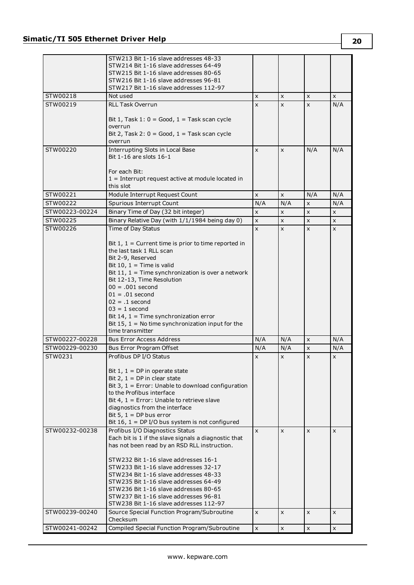|                | STW213 Bit 1-16 slave addresses 48-33                  |                |                |                |     |
|----------------|--------------------------------------------------------|----------------|----------------|----------------|-----|
|                | STW214 Bit 1-16 slave addresses 64-49                  |                |                |                |     |
|                | STW215 Bit 1-16 slave addresses 80-65                  |                |                |                |     |
|                | STW216 Bit 1-16 slave addresses 96-81                  |                |                |                |     |
|                | STW217 Bit 1-16 slave addresses 112-97                 |                |                |                |     |
| STW00218       | Not used                                               | X              | X              | X              | x   |
| STW00219       | <b>RLL Task Overrun</b>                                | $\mathsf{x}$   | $\mathsf{x}$   | X              | N/A |
|                |                                                        |                |                |                |     |
|                | Bit $1$ , Task $1: 0 = Good$ , $1 = Task$ scan cycle   |                |                |                |     |
|                | overrun                                                |                |                |                |     |
|                | Bit 2, Task 2: $0 = Good$ , $1 = Task scan cycle$      |                |                |                |     |
|                | overrun                                                |                |                |                |     |
| STW00220       | Interrupting Slots in Local Base                       | X              | X              | N/A            | N/A |
|                | Bit 1-16 are slots 16-1                                |                |                |                |     |
|                |                                                        |                |                |                |     |
|                | For each Bit:                                          |                |                |                |     |
|                | $1 =$ Interrupt request active at module located in    |                |                |                |     |
|                | this slot                                              |                |                |                |     |
| STW00221       | Module Interrupt Request Count                         | X              | X              | N/A            | N/A |
| STW00222       | Spurious Interrupt Count                               | N/A            | N/A            | x              | N/A |
|                |                                                        |                |                |                |     |
| STW00223-00224 | Binary Time of Day (32 bit integer)                    | X              | X              | X              | X   |
| STW00225       | Binary Relative Day (with 1/1/1984 being day 0)        | $\pmb{\times}$ | X              | X              | X   |
| STW00226       | Time of Day Status                                     | $\mathsf{x}$   | $\pmb{\times}$ | X              | X   |
|                |                                                        |                |                |                |     |
|                | Bit $1, 1$ = Current time is prior to time reported in |                |                |                |     |
|                | the last task 1 RLL scan                               |                |                |                |     |
|                | Bit 2-9, Reserved                                      |                |                |                |     |
|                | Bit 10, $1 =$ Time is valid                            |                |                |                |     |
|                | Bit 11, $1 =$ Time synchronization is over a network   |                |                |                |     |
|                | Bit 12-13, Time Resolution                             |                |                |                |     |
|                | $00 = .001$ second                                     |                |                |                |     |
|                | $01 = .01$ second                                      |                |                |                |     |
|                | $02 = .1$ second                                       |                |                |                |     |
|                | $03 = 1$ second                                        |                |                |                |     |
|                | Bit 14, $1 =$ Time synchronization error               |                |                |                |     |
|                | Bit 15, $1 =$ No time synchronization input for the    |                |                |                |     |
|                | time transmitter                                       |                |                |                |     |
| STW00227-00228 | <b>Bus Error Access Address</b>                        | N/A            | N/A            | $\pmb{\times}$ | N/A |
| STW00229-00230 | Bus Error Program Offset                               | N/A            | N/A            | X              | N/A |
| STW0231        | Profibus DP I/O Status                                 | X              | x              | X              | X   |
|                |                                                        |                |                |                |     |
|                | Bit $1, 1 = DP$ in operate state                       |                |                |                |     |
|                | Bit 2, $1 = DP$ in clear state                         |                |                |                |     |
|                | Bit 3, $1 =$ Error: Unable to download configuration   |                |                |                |     |
|                | to the Profibus interface                              |                |                |                |     |
|                | Bit 4, $1 =$ Error: Unable to retrieve slave           |                |                |                |     |
|                | diagnostics from the interface                         |                |                |                |     |
|                | Bit 5, $1 = DP$ bus error                              |                |                |                |     |
|                | Bit 16, $1 = DP I/O$ bus system is not configured      |                |                |                |     |
|                |                                                        |                |                |                |     |
| STW00232-00238 | Profibus I/O Diagnostics Status                        | $\mathsf{x}$   | X              | X              | X   |
|                | Each bit is 1 if the slave signals a diagnostic that   |                |                |                |     |
|                | has not been read by an RSD RLL instruction.           |                |                |                |     |
|                |                                                        |                |                |                |     |
|                | STW232 Bit 1-16 slave addresses 16-1                   |                |                |                |     |
|                | STW233 Bit 1-16 slave addresses 32-17                  |                |                |                |     |
|                | STW234 Bit 1-16 slave addresses 48-33                  |                |                |                |     |
|                | STW235 Bit 1-16 slave addresses 64-49                  |                |                |                |     |
|                | STW236 Bit 1-16 slave addresses 80-65                  |                |                |                |     |
|                | STW237 Bit 1-16 slave addresses 96-81                  |                |                |                |     |
|                | STW238 Bit 1-16 slave addresses 112-97                 |                |                |                |     |
| STW00239-00240 | Source Special Function Program/Subroutine             | X              | X              | X              | x   |
|                | Checksum                                               |                |                |                |     |
| STW00241-00242 | Compiled Special Function Program/Subroutine           | $\pmb{\times}$ | $\pmb{\times}$ | X              | X   |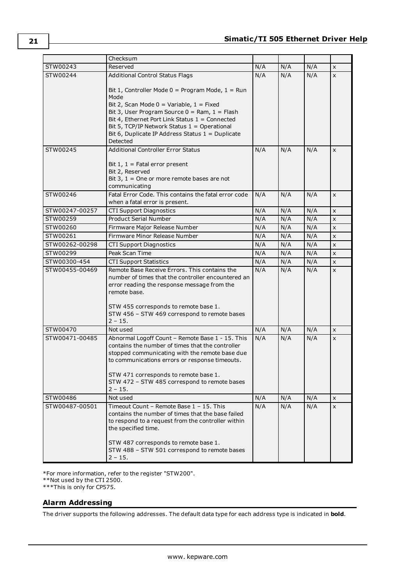|                | Checksum                                                                                                                                                                                                                                                                                          |     |     |     |                |
|----------------|---------------------------------------------------------------------------------------------------------------------------------------------------------------------------------------------------------------------------------------------------------------------------------------------------|-----|-----|-----|----------------|
| STW00243       | Reserved                                                                                                                                                                                                                                                                                          | N/A | N/A | N/A | X              |
| STW00244       | <b>Additional Control Status Flags</b>                                                                                                                                                                                                                                                            | N/A | N/A | N/A | $\mathsf{x}$   |
|                | Bit 1, Controller Mode $0 = Program$ Mode, $1 = Run$<br>Mode<br>Bit 2, Scan Mode $0 =$ Variable, $1 =$ Fixed<br>Bit 3, User Program Source $0 =$ Ram, $1 =$ Flash<br>Bit 4, Ethernet Port Link Status 1 = Connected                                                                               |     |     |     |                |
|                | Bit 5, TCP/IP Network Status $1 =$ Operational<br>Bit 6, Duplicate IP Address Status $1 =$ Duplicate<br>Detected                                                                                                                                                                                  |     |     |     |                |
| STW00245       | <b>Additional Controller Error Status</b><br>Bit $1, 1$ = Fatal error present                                                                                                                                                                                                                     | N/A | N/A | N/A | X              |
|                | Bit 2, Reserved<br>Bit $3, 1$ = One or more remote bases are not<br>communicating                                                                                                                                                                                                                 |     |     |     |                |
| STW00246       | Fatal Error Code. This contains the fatal error code<br>when a fatal error is present.                                                                                                                                                                                                            | N/A | N/A | N/A | $\mathsf{x}$   |
| STW00247-00257 | <b>CTI Support Diagnostics</b>                                                                                                                                                                                                                                                                    | N/A | N/A | N/A | $\mathsf{x}$   |
| STW00259       | <b>Product Serial Number</b>                                                                                                                                                                                                                                                                      | N/A | N/A | N/A | X              |
| STW00260       | Firmware Major Release Number                                                                                                                                                                                                                                                                     | N/A | N/A | N/A | $\pmb{\times}$ |
| STW00261       | Firmware Minor Release Number                                                                                                                                                                                                                                                                     | N/A | N/A | N/A | $\pmb{\times}$ |
| STW00262-00298 | <b>CTI Support Diagnostics</b>                                                                                                                                                                                                                                                                    | N/A | N/A | N/A | X              |
| STW00299       | Peak Scan Time                                                                                                                                                                                                                                                                                    | N/A | N/A | N/A | $\pmb{\times}$ |
| STW00300-454   | <b>CTI Support Statistics</b>                                                                                                                                                                                                                                                                     | N/A | N/A | N/A | $\pmb{\times}$ |
| STW00455-00469 | Remote Base Receive Errors. This contains the<br>number of times that the controller encountered an<br>error reading the response message from the<br>remote base.<br>STW 455 corresponds to remote base 1.<br>STW 456 - STW 469 correspond to remote bases<br>$2 - 15$ .                         | N/A | N/A | N/A | $\mathsf{x}$   |
| STW00470       | Not used                                                                                                                                                                                                                                                                                          | N/A | N/A | N/A | X              |
| STW00471-00485 | Abnormal Logoff Count - Remote Base 1 - 15. This<br>contains the number of times that the controller<br>stopped communicating with the remote base due<br>to communications errors or response timeouts.<br>STW 471 corresponds to remote base 1.<br>STW 472 - STW 485 correspond to remote bases | N/A | N/A | N/A | $\mathsf{x}$   |
|                | 2 – 15.                                                                                                                                                                                                                                                                                           |     |     |     |                |
| STW00486       | Not used<br>Timeout Count - Remote Base 1 - 15. This                                                                                                                                                                                                                                              | N/A | N/A | N/A | X              |
| STW00487-00501 | contains the number of times that the base failed<br>to respond to a request from the controller within<br>the specified time.                                                                                                                                                                    | N/A | N/A | N/A | X              |
|                | STW 487 corresponds to remote base 1.<br>STW 488 - STW 501 correspond to remote bases<br>$2 - 15.$                                                                                                                                                                                                |     |     |     |                |

\*For more information, refer to the register "STW200".

\*\*Not used by the CTI 2500.

<span id="page-20-0"></span>\*\*\*This is only for CP575.

### **Alarm Addressing**

The driver supports the following addresses. The default data type for each address type is indicated in **bold**.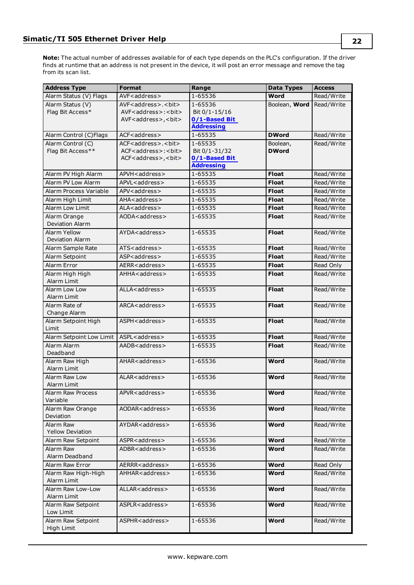**Note:** The actual number of addresses available for of each type depends on the PLC's configuration. If the driver finds at runtime that an address is not present in the device, it will post an error message and remove the tag from its scan list.

| <b>Address Type</b>           | <b>Format</b>                                                                      | Range                          |               | <b>Access</b> |
|-------------------------------|------------------------------------------------------------------------------------|--------------------------------|---------------|---------------|
| Alarm Status (V) Flags        | AVF <address></address>                                                            | 1-65536                        | Word          | Read/Write    |
| Alarm Status (V)              | AVF <address>.<br/>&gt;bit&gt;</address>                                           | 1-65536                        | Boolean, Word | Read/Write    |
| Flag Bit Access*              | AVF <address>:<br/>&gt;bit&gt;</address>                                           | Bit 0/1-15/16                  |               |               |
|                               | AVF <address>, <br/>bit&gt;</address>                                              | 0/1-Based Bit                  |               |               |
|                               |                                                                                    | <b>Addressing</b>              |               |               |
| Alarm Control (C)Flags        | ACF <address></address>                                                            | 1-65535                        | <b>DWord</b>  | Read/Write    |
| Alarm Control (C)             | ACF <address>.<br/>&gt;bit&gt;</address>                                           | 1-65535                        | Boolean,      | Read/Write    |
| Flag Bit Access**             | ACF <address>:<br/><br/>bit&gt;<br/>ACF<address>, <br/>bit&gt;</address></address> | Bit 0/1-31/32<br>0/1-Based Bit | <b>DWord</b>  |               |
|                               |                                                                                    | <b>Addressing</b>              |               |               |
| Alarm PV High Alarm           | APVH <address></address>                                                           | 1-65535                        | <b>Float</b>  | Read/Write    |
| Alarm PV Low Alarm            | APVL <address></address>                                                           | 1-65535                        | <b>Float</b>  | Read/Write    |
| Alarm Process Variable        | APV <address></address>                                                            | 1-65535                        | <b>Float</b>  | Read/Write    |
| Alarm High Limit              | AHA <address></address>                                                            | 1-65535                        | <b>Float</b>  | Read/Write    |
| Alarm Low Limit               | ALA <address></address>                                                            | 1-65535                        | <b>Float</b>  | Read/Write    |
| Alarm Orange                  | AODA <address></address>                                                           | 1-65535                        | <b>Float</b>  | Read/Write    |
| Deviation Alarm               |                                                                                    |                                |               |               |
| <b>Alarm Yellow</b>           | AYDA <address></address>                                                           | 1-65535                        | <b>Float</b>  | Read/Write    |
| <b>Deviation Alarm</b>        |                                                                                    |                                |               |               |
| Alarm Sample Rate             | ATS <address></address>                                                            | 1-65535                        | <b>Float</b>  | Read/Write    |
| Alarm Setpoint                | ASP <address></address>                                                            | 1-65535                        | <b>Float</b>  | Read/Write    |
| Alarm Error                   | AERR <address></address>                                                           | 1-65535                        | <b>Float</b>  | Read Only     |
| Alarm High High               | AHHA <address></address>                                                           | 1-65535                        | <b>Float</b>  | Read/Write    |
| Alarm Limit                   |                                                                                    |                                |               |               |
| Alarm Low Low                 | ALLA <address></address>                                                           | 1-65535                        | <b>Float</b>  | Read/Write    |
| Alarm Limit                   |                                                                                    |                                |               |               |
| Alarm Rate of                 | ARCA <address></address>                                                           | 1-65535                        | <b>Float</b>  | Read/Write    |
| Change Alarm                  |                                                                                    |                                |               |               |
| Alarm Setpoint High           | ASPH <address></address>                                                           | 1-65535                        | <b>Float</b>  | Read/Write    |
| Limit                         |                                                                                    |                                |               |               |
| Alarm Setpoint Low Limit      | ASPL <address></address>                                                           | 1-65535                        | <b>Float</b>  | Read/Write    |
| Alarm Alarm                   | AADB <address></address>                                                           | 1-65535                        | <b>Float</b>  | Read/Write    |
| Deadband                      |                                                                                    |                                |               |               |
| Alarm Raw High                | AHAR <address></address>                                                           | 1-65536                        | Word          | Read/Write    |
| Alarm Limit                   |                                                                                    |                                |               |               |
| Alarm Raw Low                 | ALAR <address></address>                                                           | 1-65536                        | <b>Word</b>   | Read/Write    |
| Alarm Limit                   |                                                                                    |                                |               |               |
| Alarm Raw Process<br>Variable | APVR <address></address>                                                           | 1-65536                        | <b>Word</b>   | Read/Write    |
|                               |                                                                                    |                                |               |               |
| Alarm Raw Orange<br>Deviation | AODAR <address></address>                                                          | 1-65536                        | Word          | Read/Write    |
| Alarm Raw                     | AYDAR <address></address>                                                          | 1-65536                        | Word          | Read/Write    |
| <b>Yellow Deviation</b>       |                                                                                    |                                |               |               |
| Alarm Raw Setpoint            | ASPR <address></address>                                                           | 1-65536                        | <b>Word</b>   | Read/Write    |
| Alarm Raw                     | ADBR <address></address>                                                           | 1-65536                        | Word          | Read/Write    |
| Alarm Deadband                |                                                                                    |                                |               |               |
| Alarm Raw Error               | AERRR <address></address>                                                          | 1-65536                        | Word          | Read Only     |
| Alarm Raw High-High           | AHHAR <address></address>                                                          | 1-65536                        | Word          | Read/Write    |
| Alarm Limit                   |                                                                                    |                                |               |               |
| Alarm Raw Low-Low             | ALLAR <address></address>                                                          | 1-65536                        | Word          | Read/Write    |
| Alarm Limit                   |                                                                                    |                                |               |               |
| Alarm Raw Setpoint            | ASPLR <address></address>                                                          | 1-65536                        | Word          | Read/Write    |
| Low Limit                     |                                                                                    |                                |               |               |
| Alarm Raw Setpoint            | ASPHR <address></address>                                                          | 1-65536                        | Word          | Read/Write    |
| High Limit                    |                                                                                    |                                |               |               |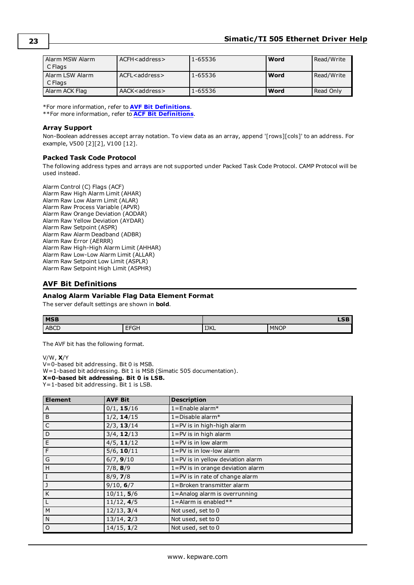| l Alarm MSW Alarm<br>C Flags | $ACFH <$ address $>$ | 1-65536 | Word | Read/Write   |
|------------------------------|----------------------|---------|------|--------------|
| Alarm LSW Alarm<br>C Flags   | $ACFL <$ address $>$ | 1-65536 | Word | l Read/Write |
| Alarm ACK Flag               | AACK < address >     | 1-65536 | Word | Read Only    |

\*For more information, refer to **AVF Bit [Definitions](#page-22-0)**.

\*\*For more information, refer to **ACF Bit [Definitions](#page-23-0)**.

### **Array Support**

Non-Boolean addresses accept array notation. To view data as an array, append '[rows][cols]' to an address. For example, V500 [2][2], V100 [12].

### **Packed Task Code Protocol**

The following address types and arrays are not supported under Packed Task Code Protocol. CAMP Protocol will be used instead.

Alarm Control (C) Flags (ACF) Alarm Raw High Alarm Limit (AHAR) Alarm Raw Low Alarm Limit (ALAR) Alarm Raw Process Variable (APVR) Alarm Raw Orange Deviation (AODAR) Alarm Raw Yellow Deviation (AYDAR) Alarm Raw Setpoint (ASPR) Alarm Raw Alarm Deadband (ADBR) Alarm Raw Error (AERRR) Alarm Raw High-High Alarm Limit (AHHAR) Alarm Raw Low-Low Alarm Limit (ALLAR) Alarm Raw Setpoint Low Limit (ASPLR) Alarm Raw Setpoint High Limit (ASPHR)

### <span id="page-22-0"></span>**AVF Bit Definitions**

### **Analog Alarm Variable Flag Data Element Format**

The server default settings are shown in **bold**.

| <b>MSB</b>  |                                | $\sim$<br>ᄖ |             |  |
|-------------|--------------------------------|-------------|-------------|--|
| <b>ABCD</b> | <b>FEQL</b><br>יוט<br><b>.</b> | <b>IJKL</b> | <b>MNOP</b> |  |

The AVF bit has the following format.

V/W, **X**/Y

V=0-based bit addressing. Bit 0 is MSB.

W=1-based bit addressing. Bit 1 is MSB (Simatic 505 documentation).

**X=0-based bit addressing. Bit 0 is LSB.**

Y=1-based bit addressing. Bit 1 is LSB.

| <b>Element</b> | <b>AVF Bit</b> | <b>Description</b>                  |  |  |  |
|----------------|----------------|-------------------------------------|--|--|--|
| $\overline{A}$ | 0/1, 15/16     | $1 =$ Enable alarm*                 |  |  |  |
| B              | 1/2, 14/15     | $1 =$ Disable alarm*                |  |  |  |
| C              | 2/3, 13/14     | 1=PV is in high-high alarm          |  |  |  |
| D              | $3/4$ , 12/13  | $1 = PV$ is in high alarm           |  |  |  |
| E              | $4/5$ , 11/12  | $1 = PV$ is in low alarm            |  |  |  |
| $\mathsf{F}$   | $5/6$ , 10/11  | $1 = PV$ is in low-low alarm        |  |  |  |
| G              | 6/7, 9/10      | 1=PV is in yellow deviation alarm   |  |  |  |
| H              | $7/8$ , 8/9    | 1=PV is in orange deviation alarm   |  |  |  |
| l I            | 8/9, 7/8       | $1 = PV$ is in rate of change alarm |  |  |  |
| IJ             | 9/10, 6/7      | 1=Broken transmitter alarm          |  |  |  |
| K              | 10/11, 5/6     | 1=Analog alarm is overrunning       |  |  |  |
| L              | 11/12, 4/5     | 1=Alarm is enabled**                |  |  |  |
| M              | 12/13, 3/4     | Not used, set to 0                  |  |  |  |
| N              | 13/14, 2/3     | Not used, set to 0                  |  |  |  |
| $\circ$        | 14/15, 1/2     | Not used, set to 0                  |  |  |  |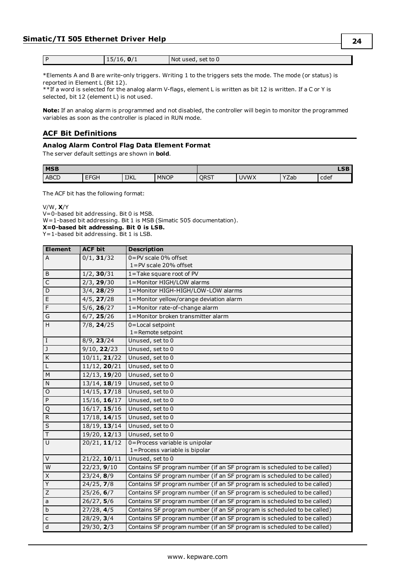| ∽<br> | Not used, set to 0 |
|-------|--------------------|

\*Elements A and B are write-only triggers. Writing 1 to the triggers sets the mode. The mode (or status) is reported in Element L (Bit 12).

\*\*If a word is selected for the analog alarm V-flags, element L is written as bit 12 is written. If a C or Y is selected, bit 12 (element L) is not used.

**Note:** If an analog alarm is programmed and not disabled, the controller will begin to monitor the programmed variables as soon as the controller is placed in RUN mode.

### <span id="page-23-0"></span>**ACF Bit Definitions**

### **Analog Alarm Control Flag Data Element Format**

The server default settings are shown in **bold**.

| <b>IMSB</b> |                        |             |             |             |             | <b>LSB</b> |      |
|-------------|------------------------|-------------|-------------|-------------|-------------|------------|------|
| <b>ABCD</b> | $- - - -$<br>רט⊦.<br>- | <b>IJKL</b> | <b>MNOP</b> | <b>ORST</b> | <b>JVWX</b> | YZab       | cdef |

The ACF bit has the following format:

V/W, **X**/Y

V=0-based bit addressing. Bit 0 is MSB.

W=1-based bit addressing. Bit 1 is MSB (Simatic 505 documentation).

**X=0-based bit addressing. Bit 0 is LSB.**

Y=1-based bit addressing. Bit 1 is LSB.

| <b>Element</b>    | <b>ACF bit</b>        | <b>Description</b>                                                      |
|-------------------|-----------------------|-------------------------------------------------------------------------|
| $\overline{A}$    | 0/1, 31/32            | 0=PV scale 0% offset                                                    |
|                   |                       | 1=PV scale 20% offset                                                   |
| B                 | 1/2, 30/31            | 1=Take square root of PV                                                |
| $\overline{C}$    | 2/3, 29/30            | 1=Monitor HIGH/LOW alarms                                               |
| D                 | 3/4, 28/29            | 1=Monitor HIGH-HIGH/LOW-LOW alarms                                      |
| E                 | 4/5, 27/28            | 1=Monitor yellow/orange deviation alarm                                 |
| F                 | $5/6$ , 26/27         | 1=Monitor rate-of-change alarm                                          |
| G                 | 6/7, 25/26            | 1=Monitor broken transmitter alarm                                      |
| H                 | $7/8$ , <b>24</b> /25 | 0=Local setpoint                                                        |
|                   |                       | 1=Remote setpoint                                                       |
| $\rm I$           | 8/9, 23/24            | Unused, set to 0                                                        |
| $\mathsf J$       | 9/10, 22/23           | Unused, set to 0                                                        |
| K                 | 10/11, 21/22          | Unused, set to 0                                                        |
| $\mathsf L$       | 11/12, 20/21          | Unused, set to 0                                                        |
| M                 | 12/13, 19/20          | Unused, set to 0                                                        |
| ${\sf N}$         | 13/14, 18/19          | Unused, set to 0                                                        |
| $\circ$           | 14/15, 17/18          | Unused, set to 0                                                        |
| P                 | 15/16, 16/17          | Unused, set to 0                                                        |
| Q                 | 16/17, 15/16          | Unused, set to 0                                                        |
| $\mathsf{R}$      | $17/18$ , 14/15       | Unused, set to 0                                                        |
| S                 | 18/19, 13/14          | Unused, set to 0                                                        |
| $\top$            | 19/20, 12/13          | Unused, set to 0                                                        |
| $\overline{U}$    | 20/21, 11/12          | 0=Process variable is unipolar                                          |
|                   |                       | 1=Process variable is bipolar                                           |
| $\overline{\vee}$ | 21/22, 10/11          | Unused, set to 0                                                        |
| W                 | 22/23, 9/10           | Contains SF program number (if an SF program is scheduled to be called) |
| X                 | 23/24, 8/9            | Contains SF program number (if an SF program is scheduled to be called) |
| $\overline{Y}$    | 24/25, 7/8            | Contains SF program number (if an SF program is scheduled to be called) |
| Z                 | 25/26, 6/7            | Contains SF program number (if an SF program is scheduled to be called) |
| a                 | 26/27, 5/6            | Contains SF program number (if an SF program is scheduled to be called) |
| $\mathsf b$       | 27/28, 4/5            | Contains SF program number (if an SF program is scheduled to be called) |
| $\mathsf{C}$      | 28/29, 3/4            | Contains SF program number (if an SF program is scheduled to be called) |
| $\overline{d}$    | 29/30, 2/3            | Contains SF program number (if an SF program is scheduled to be called) |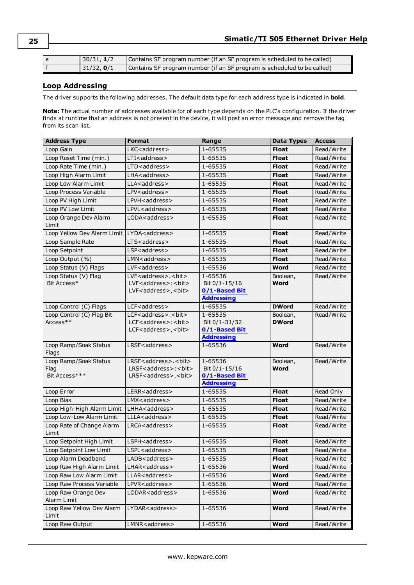| 30/31, 1/2  | Contains SF program number (if an SF program is scheduled to be called) |
|-------------|-------------------------------------------------------------------------|
| 131/32, 0/1 | Contains SF program number (if an SF program is scheduled to be called) |

### <span id="page-24-0"></span>**Loop Addressing**

The driver supports the following addresses. The default data type for each address type is indicated in **bold**.

**Note:** The actual number of addresses available for of each type depends on the PLC's configuration. If the driver finds at runtime that an address is not present in the device, it will post an error message and remove the tag from its scan list.

| <b>Address Type</b>                                    | <b>Format</b>                                                              | Range                              | <b>Data Types</b> | <b>Access</b> |
|--------------------------------------------------------|----------------------------------------------------------------------------|------------------------------------|-------------------|---------------|
| Loop Gain                                              | LKC <address></address>                                                    | 1-65535                            | <b>Float</b>      | Read/Write    |
| Loop Reset Time (min.)                                 | LTI <address></address>                                                    | 1-65535                            | <b>Float</b>      | Read/Write    |
| Loop Rate Time (min.)                                  | LTD <address></address>                                                    | 1-65535                            | <b>Float</b>      | Read/Write    |
| Loop High Alarm Limit                                  | LHA <address></address>                                                    | 1-65535                            | <b>Float</b>      | Read/Write    |
| Loop Low Alarm Limit                                   | LLA <address></address>                                                    | 1-65535                            | <b>Float</b>      | Read/Write    |
| Loop Process Variable                                  | LPV <address></address>                                                    | 1-65535                            | <b>Float</b>      | Read/Write    |
| Loop PV High Limit                                     | LPVH <address></address>                                                   | 1-65535                            | <b>Float</b>      | Read/Write    |
| Loop PV Low Limit                                      | LPVL <address></address>                                                   | 1-65535                            | <b>Float</b>      | Read/Write    |
| Loop Orange Dev Alarm<br>Limit                         | LODA <address></address>                                                   | 1-65535                            | <b>Float</b>      | Read/Write    |
| Loop Yellow Dev Alarm Limit   LYDA <address></address> |                                                                            | 1-65535                            | <b>Float</b>      | Read/Write    |
| Loop Sample Rate                                       | LTS <address></address>                                                    | 1-65535                            | <b>Float</b>      | Read/Write    |
| Loop Setpoint                                          | LSP <address></address>                                                    | 1-65535                            | <b>Float</b>      | Read/Write    |
| Loop Output (%)                                        | $LMN <$ address $>$                                                        | 1-65535                            | <b>Float</b>      | Read/Write    |
| Loop Status (V) Flags                                  | $LVF$ < address >                                                          | 1-65536                            | Word              | Read/Write    |
| Loop Status (V) Flag<br>Bit Access*                    | LVF <address>.<bit><br/>LVF<address>:<bit></bit></address></bit></address> | 1-65536<br>Bit 0/1-15/16           | Boolean,<br>Word  | Read/Write    |
|                                                        | LVF <address>,<bit></bit></address>                                        | 0/1-Based Bit                      |                   |               |
|                                                        |                                                                            | <b>Addressing</b>                  |                   |               |
| Loop Control (C) Flags                                 | LCF <address></address>                                                    | 1-65535                            | <b>DWord</b>      | Read/Write    |
| Loop Control (C) Flag Bit                              | LCF <address>.<bit></bit></address>                                        | 1-65535                            | Boolean,          | Read/Write    |
| Access**                                               | LCF <address>:<br/>&gt;bit&gt;</address>                                   | Bit 0/1-31/32                      | <b>DWord</b>      |               |
|                                                        | LCF <address>,<bit></bit></address>                                        | 0/1-Based Bit                      |                   |               |
|                                                        |                                                                            | <b>Addressing</b>                  |                   |               |
| Loop Ramp/Soak Status<br>Flags                         | LRSF <address></address>                                                   | 1-65536                            | Word              | Read/Write    |
| Loop Ramp/Soak Status                                  | LRSF <address>.<br/>&gt;bit&gt;</address>                                  | 1-65536                            | Boolean,          | Read/Write    |
| Flag                                                   | LRSF <address>:<br/>&gt;bit&gt;</address>                                  | Bit 0/1-15/16                      | Word              |               |
| Bit Access***                                          | LRSF <address>,<br/>bit&gt;</address>                                      | 0/1-Based Bit<br><b>Addressing</b> |                   |               |
| Loop Error                                             | LERR <address></address>                                                   | 1-65535                            | <b>Float</b>      | Read Only     |
| Loop Bias                                              | LMX <address></address>                                                    | 1-65535                            | <b>Float</b>      | Read/Write    |
| Loop High-High Alarm Limit                             | LHHA <address></address>                                                   | 1-65535                            | <b>Float</b>      | Read/Write    |
| Loop Low-Low Alarm Limit                               | LLLA <address></address>                                                   | 1-65535                            | <b>Float</b>      | Read/Write    |
| Loop Rate of Change Alarm                              | LRCA <address></address>                                                   | 1-65535                            | <b>Float</b>      | Read/Write    |
| Limit                                                  |                                                                            |                                    |                   |               |
| Loop Setpoint High Limit                               | LSPH <address></address>                                                   | 1-65535                            | <b>Float</b>      | Read/Write    |
| Loop Setpoint Low Limit                                | LSPL <address></address>                                                   | 1-65535                            | <b>Float</b>      | Read/Write    |
| Loop Alarm Deadband                                    | LADB <address></address>                                                   | 1-65535                            | <b>Float</b>      | Read/Write    |
| Loop Raw High Alarm Limit                              | LHAR <address></address>                                                   | 1-65536                            | Word              | Read/Write    |
| Loop Raw Low Alarm Limit                               | LLAR <address></address>                                                   | 1-65536                            | Word              | Read/Write    |
| Loop Raw Process Variable                              | LPVR <address></address>                                                   | 1-65536                            | Word              | Read/Write    |
| Loop Raw Orange Dev<br>Alarm Limit                     | LODAR <address></address>                                                  | 1-65536                            | Word              | Read/Write    |
| Loop Raw Yellow Dev Alarm                              | LYDAR <address></address>                                                  | 1-65536                            | Word              | Read/Write    |
| Limit                                                  |                                                                            |                                    |                   |               |
| Loop Raw Output                                        | LMNR <address></address>                                                   | 1-65536                            | Word              | Read/Write    |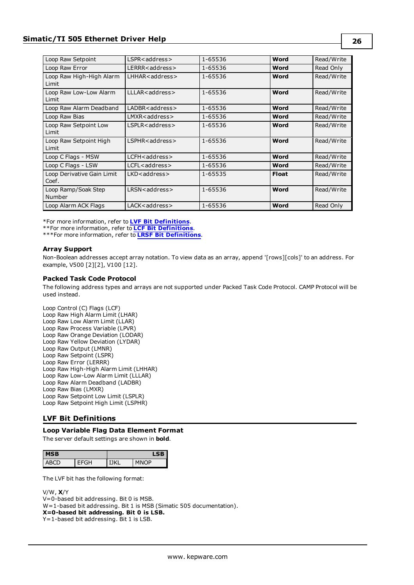| Loop Raw Setpoint                   | LSPR <address></address>  | 1-65536 | Word         | Read/Write |
|-------------------------------------|---------------------------|---------|--------------|------------|
| Loop Raw Error                      | LERRR <address></address> | 1-65536 | Word         | Read Only  |
| Loop Raw High-High Alarm<br>Limit   | LHHAR <address></address> | 1-65536 | Word         | Read/Write |
| Loop Raw Low-Low Alarm<br>Limit     | LLLAR <address></address> | 1-65536 | Word         | Read/Write |
| Loop Raw Alarm Deadband             | LADBR <address></address> | 1-65536 | Word         | Read/Write |
| Loop Raw Bias                       | $LMXR <$ address $>$      | 1-65536 | Word         | Read/Write |
| Loop Raw Setpoint Low<br>Limit      | LSPLR <address></address> | 1-65536 | Word         | Read/Write |
| Loop Raw Setpoint High<br>Limit     | LSPHR <address></address> | 1-65536 | Word         | Read/Write |
| Loop C Flags - MSW                  | LCFH <address></address>  | 1-65536 | Word         | Read/Write |
| Loop C Flags - LSW                  | LCFL <address></address>  | 1-65536 | Word         | Read/Write |
| Loop Derivative Gain Limit<br>Coef. | LKD <address></address>   | 1-65535 | <b>Float</b> | Read/Write |
| Loop Ramp/Soak Step<br>Number       | LRSN <address></address>  | 1-65536 | Word         | Read/Write |
| Loop Alarm ACK Flags                | LACK <address></address>  | 1-65536 | Word         | Read Only  |

\*For more information, refer to **LVF Bit [Definitions](#page-25-0)**.

\*\*For more information, refer to **LCF Bit [Definitions](#page-26-0)**.

\*\*\*For more information, refer to **LRSF Bit [Definitions](#page-27-0)**.

### **Array Support**

Non-Boolean addresses accept array notation. To view data as an array, append '[rows][cols]' to an address. For example, V500 [2][2], V100 [12].

### **Packed Task Code Protocol**

The following address types and arrays are not supported under Packed Task Code Protocol. CAMP Protocol will be used instead.

Loop Control (C) Flags (LCF) Loop Raw High Alarm Limit (LHAR) Loop Raw Low Alarm Limit (LLAR) Loop Raw Process Variable (LPVR) Loop Raw Orange Deviation (LODAR) Loop Raw Yellow Deviation (LYDAR) Loop Raw Output (LMNR) Loop Raw Setpoint (LSPR) Loop Raw Error (LERRR) Loop Raw High-High Alarm Limit (LHHAR) Loop Raw Low-Low Alarm Limit (LLLAR) Loop Raw Alarm Deadband (LADBR) Loop Raw Bias (LMXR) Loop Raw Setpoint Low Limit (LSPLR) Loop Raw Setpoint High Limit (LSPHR)

### <span id="page-25-0"></span>**LVF Bit Definitions**

### **Loop Variable Flag Data Element Format**

The server default settings are shown in **bold**.

| SB.<br>ıs | LSB. |    |  |
|-----------|------|----|--|
|           | ו שו | סר |  |

The LVF bit has the following format:

#### V/W, **X**/Y

V=0-based bit addressing. Bit 0 is MSB. W=1-based bit addressing. Bit 1 is MSB (Simatic 505 documentation). **X=0-based bit addressing. Bit 0 is LSB.** Y=1-based bit addressing. Bit 1 is LSB.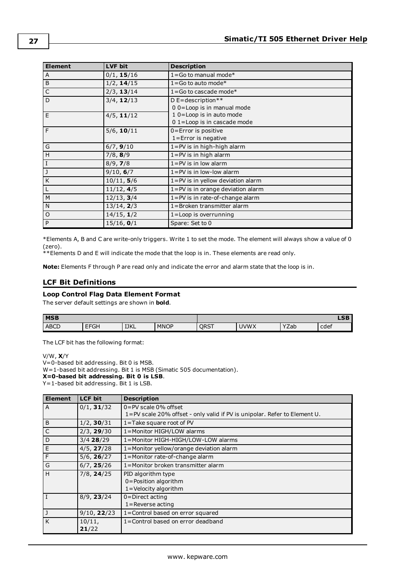| <b>Element</b> | LVF bit       | <b>Description</b>                |
|----------------|---------------|-----------------------------------|
| Α              | 0/1, 15/16    | $1 = Go$ to manual mode*          |
| B              | 1/2, 14/15    | $1 = Go$ to auto mode*            |
| $\mathsf C$    | 2/3, 13/14    | $1 = Go$ to cascade mode*         |
| D              | $3/4$ , 12/13 | D E=description**                 |
|                |               | 00=Loop is in manual mode         |
| E              | $4/5$ , 11/12 | 10=Loop is in auto mode           |
|                |               | 01=Loop is in cascade mode        |
| F              | $5/6$ , 10/11 | $0$ =Error is positive            |
|                |               | $1 =$ Error is negative           |
| G              | 6/7, 9/10     | 1=PV is in high-high alarm        |
| H              | 7/8, 8/9      | $1 = PV$ is in high alarm         |
| $\vert$ I      | 8/9, 7/8      | $1 = PV$ is in low alarm          |
| IJ             | 9/10, 6/7     | $1 = PV$ is in low-low alarm      |
| K              | 10/11, 5/6    | 1=PV is in yellow deviation alarm |
| L              | 11/12, 4/5    | 1=PV is in orange deviation alarm |
| M              | 12/13, 3/4    | 1=PV is in rate-of-change alarm   |
| $\mathsf{N}$   | 13/14, 2/3    | 1=Broken transmitter alarm        |
| $\circ$        | 14/15, 1/2    | $1 =$ Loop is overrunning         |
| P              | 15/16, 0/1    | Spare: Set to 0                   |

\*Elements A, B and C are write-only triggers. Write 1 to set the mode. The element will always show a value of 0 (zero).

\*\*Elements D and E will indicate the mode that the loop is in. These elements are read only.

<span id="page-26-0"></span>**Note:** Elements F through P are read only and indicate the error and alarm state that the loop is in.

### **LCF Bit Definitions**

### **Loop Control Flag Data Element Format**

The server default settings are shown in **bold**.

| <b>MSB</b>  |                    |             |             |             |             | LSB  |      |
|-------------|--------------------|-------------|-------------|-------------|-------------|------|------|
| <b>ABCD</b> | <b>FEQL</b><br>חטי | <b>IJKL</b> | <b>MNOP</b> | <b>ORST</b> | <b>JVWX</b> | YZab | cdef |

The LCF bit has the following format:

V/W, **X**/Y

V=0-based bit addressing. Bit 0 is MSB.

W=1-based bit addressing. Bit 1 is MSB (Simatic 505 documentation).

**X=0-based bit addressing. Bit 0 is LSB**.

Y=1-based bit addressing. Bit 1 is LSB.

| <b>Element</b> | <b>LCF bit</b>  | <b>Description</b>                                                        |
|----------------|-----------------|---------------------------------------------------------------------------|
| A              | $0/1$ , 31/32   | $0 = PV$ scale $0\%$ offset                                               |
|                |                 | 1=PV scale 20% offset - only valid if PV is unipolar. Refer to Element U. |
| B              | $1/2$ , 30/31   | $1 =$ Take square root of PV                                              |
| $\mathsf C$    | 2/3, 29/30      | 1=Monitor HIGH/LOW alarms                                                 |
| D              | $3/4$ 28/29     | 1=Monitor HIGH-HIGH/LOW-LOW alarms                                        |
| $\mathsf E$    | 4/5, 27/28      | 1=Monitor yellow/orange deviation alarm                                   |
| F              | 5/6, 26/27      | 1=Monitor rate-of-change alarm                                            |
| G              | 6/7, 25/26      | 1=Monitor broken transmitter alarm                                        |
| H              | $7/8$ , $24/25$ | PID algorithm type                                                        |
|                |                 | 0=Position algorithm                                                      |
|                |                 | 1=Velocity algorithm                                                      |
| $\bf{I}$       | 8/9, 23/24      | $0 =$ Direct acting                                                       |
|                |                 | $1 =$ Reverse acting                                                      |
| J              | 9/10, 22/23     | 1=Control based on error squared                                          |
| K              | $10/11$ ,       | 1=Control based on error deadband                                         |
|                | 21/22           |                                                                           |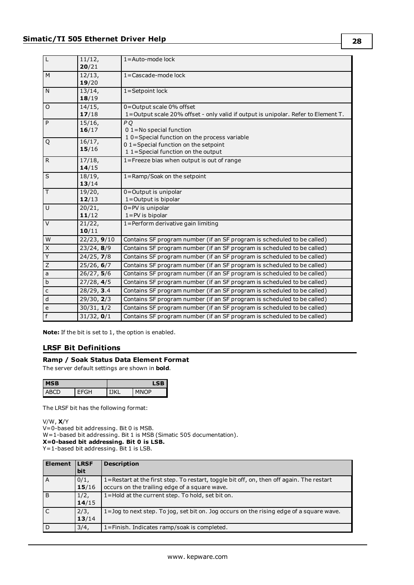| $\mathsf L$             | 11/12,<br>20/21               | $1 =$ Auto-mode lock                                                                                                        |
|-------------------------|-------------------------------|-----------------------------------------------------------------------------------------------------------------------------|
| M                       | 12/13,<br>19/20               | 1=Cascade-mode lock                                                                                                         |
| N                       | 13/14,<br>18/19               | 1=Setpoint lock                                                                                                             |
| $\circ$                 | 14/15,<br>17/18               | 0=Output scale 0% offset<br>1=Output scale 20% offset - only valid if output is unipolar. Refer to Element T.               |
| P                       | 15/16,<br>16/17               | P <sub>Q</sub><br>$01$ = No special function                                                                                |
| Q                       | $\overline{16}/17$ ,<br>15/16 | 10 = Special function on the process variable<br>01=Special function on the setpoint<br>11 = Special function on the output |
| $\mathsf{R}$            | 17/18,<br>14/15               | 1=Freeze bias when output is out of range                                                                                   |
| S                       | 18/19,<br>13/14               | 1=Ramp/Soak on the setpoint                                                                                                 |
| T.                      | 19/20,<br>12/13               | 0=Output is unipolar<br>1=Output is bipolar                                                                                 |
| U                       | 20/21,<br>11/12               | 0=PV is unipolar<br>$1 = PV$ is bipolar                                                                                     |
| $\vee$                  | $21/22$ ,<br>10/11            | 1=Perform derivative gain limiting                                                                                          |
| W                       | 22/23, 9/10                   | Contains SF program number (if an SF program is scheduled to be called)                                                     |
| $\overline{\mathsf{X}}$ | 23/24, 8/9                    | Contains SF program number (if an SF program is scheduled to be called)                                                     |
| $\overline{Y}$          | 24/25, 7/8                    | Contains SF program number (if an SF program is scheduled to be called)                                                     |
| $\overline{Z}$          | 25/26, 6/7                    | Contains SF program number (if an SF program is scheduled to be called)                                                     |
| $\mathsf{a}$            | 26/27, 5/6                    | Contains SF program number (if an SF program is scheduled to be called)                                                     |
| $\sf b$                 | 27/28, 4/5                    | Contains SF program number (if an SF program is scheduled to be called)                                                     |
| $\mathsf{C}$            | 28/29, 3.4                    | Contains SF program number (if an SF program is scheduled to be called)                                                     |
| $\sf d$                 | 29/30, 2/3                    | Contains SF program number (if an SF program is scheduled to be called)                                                     |
| $\mathsf{e}$            | 30/31, 1/2                    | Contains SF program number (if an SF program is scheduled to be called)                                                     |
| $\overline{f}$          | 31/32, 0/1                    | Contains SF program number (if an SF program is scheduled to be called)                                                     |

<span id="page-27-0"></span>**Note:** If the bit is set to 1, the option is enabled.

### **LRSF Bit Definitions**

### **Ramp / Soak Status Data Element Format**

The server default settings are shown in **bold**.

| sв |  |  |     |  |
|----|--|--|-----|--|
| ςн |  |  | ח∩ו |  |

The LRSF bit has the following format:

### V/W, **X**/Y

 $V=0$ -based bit addressing. Bit 0 is MSB.

W=1-based bit addressing. Bit 1 is MSB (Simatic 505 documentation).

**X=0-based bit addressing. Bit 0 is LSB.**

Y=1-based bit addressing. Bit 1 is LSB.

| <b>Element</b> | <b>LRSF</b><br>bit | <b>Description</b>                                                                                                                        |
|----------------|--------------------|-------------------------------------------------------------------------------------------------------------------------------------------|
| l A            | $0/1$ ,<br>15/16   | 1=Restart at the first step. To restart, toggle bit off, on, then off again. The restart<br>occurs on the trailing edge of a square wave. |
| B              | 1/2,<br>14/15      | 1=Hold at the current step. To hold, set bit on.                                                                                          |
| i C            | 2/3,<br>13/14      | 1=Jog to next step. To jog, set bit on. Jog occurs on the rising edge of a square wave.                                                   |
| D              | 3/4,               | 1=Finish. Indicates ramp/soak is completed.                                                                                               |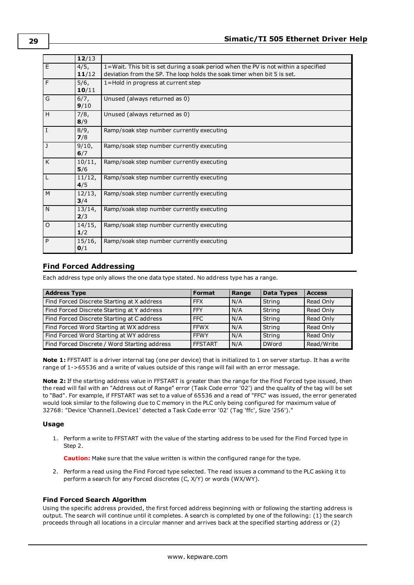|         | 12/13            |                                                                                                                                                               |
|---------|------------------|---------------------------------------------------------------------------------------------------------------------------------------------------------------|
| E       | 4/5,<br>11/12    | 1=Wait. This bit is set during a soak period when the PV is not within a specified<br>deviation from the SP. The loop holds the soak timer when bit 5 is set. |
| F       | 5/6,<br>10/11    | 1=Hold in progress at current step                                                                                                                            |
| G       | 6/7,<br>9/10     | Unused (always returned as 0)                                                                                                                                 |
| H       | 7/8,<br>8/9      | Unused (always returned as 0)                                                                                                                                 |
| I       | 8/9,<br>7/8      | Ramp/soak step number currently executing                                                                                                                     |
| J       | 9/10,<br>6/7     | Ramp/soak step number currently executing                                                                                                                     |
| K       | 10/11,<br>5/6    | Ramp/soak step number currently executing                                                                                                                     |
| L       | 11/12,<br>4/5    | Ramp/soak step number currently executing                                                                                                                     |
| M       | 12/13,<br>3/4    | Ramp/soak step number currently executing                                                                                                                     |
| N       | 13/14,<br>2/3    | Ramp/soak step number currently executing                                                                                                                     |
| $\circ$ | 14/15,<br>1/2    | Ramp/soak step number currently executing                                                                                                                     |
| P       | $15/16$ ,<br>0/1 | Ramp/soak step number currently executing                                                                                                                     |

### <span id="page-28-0"></span>**Find Forced Addressing**

Each address type only allows the one data type stated. No address type has a range.

| <b>Address Type</b>                          | <b>Format</b>  | Range | <b>Data Types</b> | <b>Access</b> |
|----------------------------------------------|----------------|-------|-------------------|---------------|
| Find Forced Discrete Starting at X address   | <b>FFX</b>     | N/A   | String            | Read Only     |
| Find Forced Discrete Starting at Y address   | <b>FFY</b>     | N/A   | String            | Read Only     |
| Find Forced Discrete Starting at C address   | FFC            | N/A   | String            | Read Only     |
| Find Forced Word Starting at WX address      | <b>FFWX</b>    | N/A   | String            | Read Only     |
| Find Forced Word Starting at WY address      | <b>FFWY</b>    | N/A   | String            | Read Only     |
| Find Forced Discrete / Word Starting address | <b>FFSTART</b> | I N/A | <b>DWord</b>      | Read/Write    |

**Note 1:** FFSTART is a driver internal tag (one per device) that is initialized to 1 on server startup. It has a write range of 1->65536 and a write of values outside of this range will fail with an error message.

**Note 2:** If the starting address value in FFSTART is greater than the range for the Find Forced type issued, then the read will fail with an "Address out of Range" error (Task Code error '02') and the quality of the tag will be set to "Bad". For example, if FFSTART was set to a value of 65536 and a read of "FFC" was issued, the error generated would look similar to the following due to C memory in the PLC only being configured for maximum value of 32768: "Device 'Channel1.Device1' detected a Task Code error '02' (Tag 'ffc', Size '256')."

### **Usage**

1. Perform a write to FFSTART with the value of the starting address to be used for the Find Forced type in Step 2.

**Caution:** Make sure that the value written is within the configured range for the type.

2. Perform a read using the Find Forced type selected. The read issues a command to the PLC asking it to perform a search for any Forced discretes (C, X/Y) or words (WX/WY).

### **Find Forced Search Algorithm**

Using the specific address provided, the first forced address beginning with or following the starting address is output. The search will continue until it completes. A search is completed by one of the following: (1) the search proceeds through all locations in a circular manner and arrives back at the specified starting address or (2)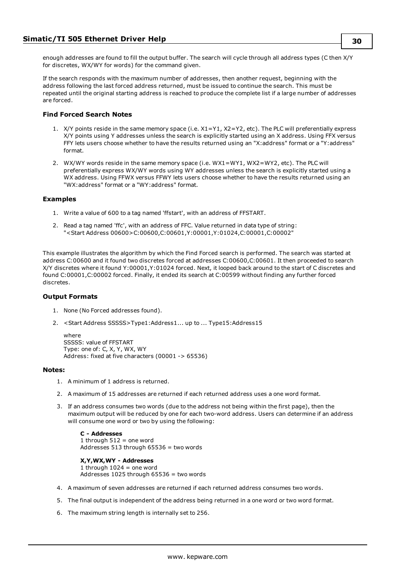enough addresses are found to fill the output buffer. The search will cycle through all address types (C then X/Y for discretes, WX/WY for words) for the command given.

If the search responds with the maximum number of addresses, then another request, beginning with the address following the last forced address returned, must be issued to continue the search. This must be repeated until the original starting address is reached to produce the complete list if a large number of addresses are forced.

### **Find Forced Search Notes**

- 1. X/Y points reside in the same memory space (i.e. X1=Y1, X2=Y2, etc). The PLC will preferentially express X/Y points using Y addresses unless the search is explicitly started using an X address. Using FFX versus FFY lets users choose whether to have the results returned using an "X:address" format or a "Y:address" format.
- 2. WX/WY words reside in the same memory space (i.e. WX1=WY1, WX2=WY2, etc). The PLC will preferentially express WX/WY words using WY addresses unless the search is explicitly started using a WX address. Using FFWX versus FFWY lets users choose whether to have the results returned using an "WX:address" format or a "WY:address" format.

### **Examples**

- 1. Write a value of 600 to a tag named 'ffstart', with an address of FFSTART.
- 2. Read a tag named 'ffc', with an address of FFC. Value returned in data type of string: "<Start Address 00600>C:00600,C:00601,Y:00001,Y:01024,C:00001,C:00002"

This example illustrates the algorithm by which the Find Forced search is performed. The search was started at address C:00600 and it found two discretes forced at addresses C:00600,C:00601. It then proceeded to search X/Y discretes where it found Y:00001,Y:01024 forced. Next, it looped back around to the start of C discretes and found C:00001,C:00002 forced. Finally, it ended its search at C:00599 without finding any further forced discretes.

### **Output Formats**

- 1. None (No Forced addresses found).
- 2. <Start Address SSSSS>Type1:Address1... up to ... Type15:Address15

```
where
SSSSS: value of FFSTART
Type: one of: C, X, Y, WX, WY
Address: fixed at five characters (00001 -> 65536)
```
### **Notes:**

- 1. A minimum of 1 address is returned.
- 2. A maximum of 15 addresses are returned if each returned address uses a one word format.
- 3. If an address consumes two words (due to the address not being within the first page), then the maximum output will be reduced by one for each two-word address. Users can determine if an address will consume one word or two by using the following:

```
C - Addresses
1 through 512 = one word
Addresses 513 through 65536 = two words
```
### **X,Y,WX,WY - Addresses**

1 through  $1024$  = one word Addresses 1025 through 65536 = two words

- 4. A maximum of seven addresses are returned if each returned address consumes two words.
- 5. The final output is independent of the address being returned in a one word or two word format.
- 6. The maximum string length is internally set to 256.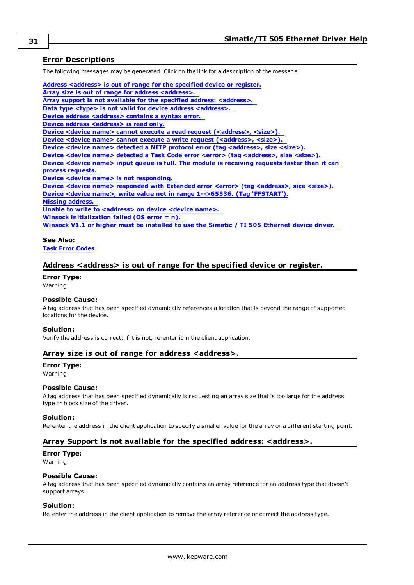### <span id="page-30-0"></span>**Error Descriptions**

The following messages may be generated. Click on the link for a description of the message.

**Address [<address>](#page-30-1) is out of range for the specified device or register. Array size is out of range for address [<address>.](#page-30-2) Array support is not available for the specified address: [<address>.](#page-30-3) Data type <type> is not valid for device address [<address>.](#page-31-0) Device address [<address>](#page-31-1)** contains a syntax error. **Device address [<address>](#page-31-2)** is read only. **Device <device name> cannot execute a read request [\(<address>,](#page-31-3) <size>). Device <device name> cannot execute a write request [\(<address>,](#page-31-4) <size>). Device <device name> detected a NITP protocol error (tag [<address>,](#page-31-5) size <size>). Device <device name> detected a Task Code error <error> (tag [<address>,](#page-32-0) size <size>). Device <device name> input queue is full. The module is [receiving](#page-32-1) requests faster than it can process [requests.](#page-32-1) Device <device name> is not [responding.](#page-32-2) Device <device name> responded with Extended error <error> (tag [<address>,](#page-32-3) size <size>). Device <device name>, write value not in range [1-->65536.](#page-33-0) (Tag 'FFSTART'). Missing [address.](#page-33-1) Unable to write to [<address>](#page-33-2) on device <device name>. Winsock [initialization](#page-33-3) failed (OS error = n). Winsock V1.1 or higher must be [installed](#page-33-4) to use the Simatic / TI 505 Ethernet device driver.**

### **See Also:**

<span id="page-30-1"></span>**Task Error [Codes](#page-35-0)**

### **Address <address> is out of range for the specified device or register.**

#### **Error Type:**

Warning

### **Possible Cause:**

A tag address that has been specified dynamically references a location that is beyond the range of supported locations for the device.

#### **Solution:**

<span id="page-30-2"></span>Verify the address is correct; if it is not, re-enter it in the client application.

### **Array size is out of range for address <address>.**

### **Error Type:**

Warning

### **Possible Cause:**

A tag address that has been specified dynamically is requesting an array size that is too large for the address type or block size of the driver.

### **Solution:**

<span id="page-30-3"></span>Re-enter the address in the client application to specify a smaller value for the array or a different starting point.

### **Array Support is not available for the specified address: <address>.**

### **Error Type:**

Warning

### **Possible Cause:**

A tag address that has been specified dynamically contains an array reference for an address type that doesn't support arrays.

### **Solution:**

Re-enter the address in the client application to remove the array reference or correct the address type.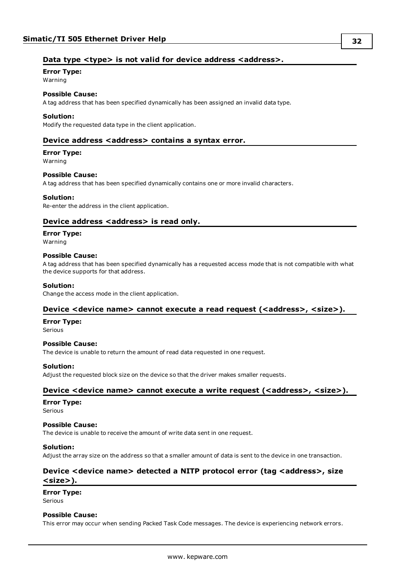### <span id="page-31-0"></span>**Data type <type> is not valid for device address <address>.**

## **Error Type:**

Warning

### **Possible Cause:**

A tag address that has been specified dynamically has been assigned an invalid data type.

### **Solution:**

<span id="page-31-1"></span>Modify the requested data type in the client application.

### **Device address <address> contains a syntax error.**

### **Error Type:**

Warning

### **Possible Cause:**

A tag address that has been specified dynamically contains one or more invalid characters.

### **Solution:**

<span id="page-31-2"></span>Re-enter the address in the client application.

### **Device address <address>** is read only.

### **Error Type:**

Warning

### **Possible Cause:**

A tag address that has been specified dynamically has a requested access mode that is not compatible with what the device supports for that address.

### **Solution:**

<span id="page-31-3"></span>Change the access mode in the client application.

### **Device <device name> cannot execute a read request (<address>, <size>).**

### **Error Type:**

Serious

### **Possible Cause:**

The device is unable to return the amount of read data requested in one request.

### **Solution:**

<span id="page-31-4"></span>Adjust the requested block size on the device so that the driver makes smaller requests.

### **Device <device name> cannot execute a write request (<address>, <size>).**

### **Error Type:**

Serious

### **Possible Cause:**

The device is unable to receive the amount of write data sent in one request.

### **Solution:**

<span id="page-31-5"></span>Adjust the array size on the address so that a smaller amount of data is sent to the device in one transaction.

### **Device <device name> detected a NITP protocol error (tag <address>, size <size>).**

### **Error Type:**

Serious

### **Possible Cause:**

This error may occur when sending Packed Task Code messages. The device is experiencing network errors.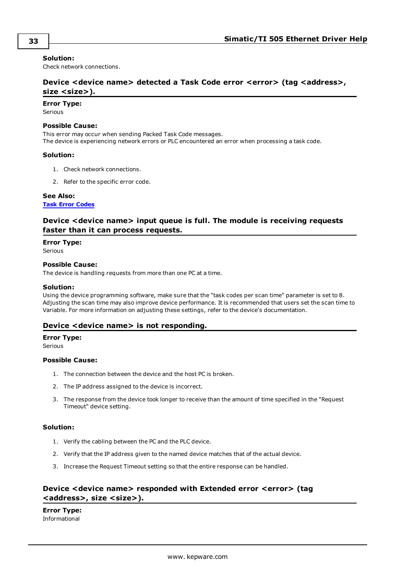### **Solution:**

<span id="page-32-0"></span>Check network connections.

### **Device <device name> detected a Task Code error <error> (tag <address>, size <size>).**

### **Error Type:**

Serious

### **Possible Cause:**

This error may occur when sending Packed Task Code messages.

The device is experiencing network errors or PLC encountered an error when processing a task code.

### **Solution:**

- 1. Check network connections.
- 2. Refer to the specific error code.

### **See Also:**

<span id="page-32-1"></span>**Task Error [Codes](#page-35-0)**

### **Device <device name> input queue is full. The module is receiving requests faster than it can process requests.**

### **Error Type:**

Serious

#### **Possible Cause:**

The device is handling requests from more than one PC at a time.

### **Solution:**

Using the device programming software, make sure that the "task codes per scan time" parameter is set to 8. Adjusting the scan time may also improve device performance. It is recommended that users set the scan time to Variable. For more information on adjusting these settings, refer to the device's documentation.

### <span id="page-32-2"></span>**Device <device name> is not responding.**

### **Error Type:**

Serious

### **Possible Cause:**

- 1. The connection between the device and the host PC is broken.
- 2. The IP address assigned to the device is incorrect.
- 3. The response from the device took longer to receive than the amount of time specified in the "Request Timeout" device setting.

### **Solution:**

- 1. Verify the cabling between the PC and the PLC device.
- 2. Verify that the IP address given to the named device matches that of the actual device.
- 3. Increase the Request Timeout setting so that the entire response can be handled.

### <span id="page-32-3"></span>**Device <device name> responded with Extended error <error> (tag <address>, size <size>).**

**Error Type:** Informational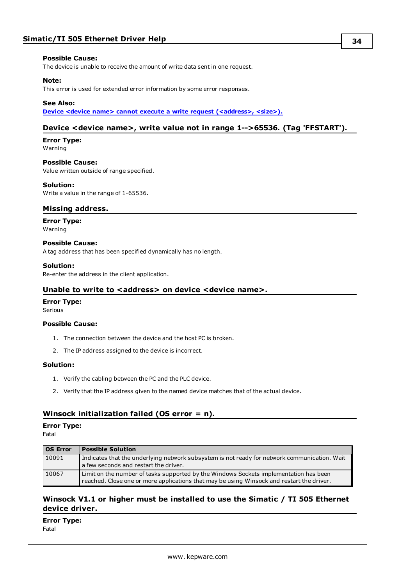### **Possible Cause:**

The device is unable to receive the amount of write data sent in one request.

### **Note:**

This error is used for extended error information by some error responses.

### **See Also:**

<span id="page-33-0"></span>**Device <device name> cannot execute a write request [\(<address>,](#page-31-4) <size>).**

### **Device <device name>, write value not in range 1-->65536. (Tag 'FFSTART').**

### **Error Type:**

Warning

### **Possible Cause:**

Value written outside of range specified.

#### **Solution:**

<span id="page-33-1"></span>Write a value in the range of 1-65536.

### **Missing address.**

### **Error Type:**

Warning

### **Possible Cause:**

A tag address that has been specified dynamically has no length.

### **Solution:**

<span id="page-33-2"></span>Re-enter the address in the client application.

### **Unable to write to <address> on device <device name>.**

#### **Error Type:**

Serious

### **Possible Cause:**

- 1. The connection between the device and the host PC is broken.
- 2. The IP address assigned to the device is incorrect.

### **Solution:**

- 1. Verify the cabling between the PC and the PLC device.
- 2. Verify that the IP address given to the named device matches that of the actual device.

### <span id="page-33-3"></span>**Winsock initialization failed (OS error = n).**

### **Error Type:**

Fatal

| <b>OS Error</b> | <b>Possible Solution</b>                                                                     |
|-----------------|----------------------------------------------------------------------------------------------|
| 10091           | Indicates that the underlying network subsystem is not ready for network communication. Wait |
|                 | a few seconds and restart the driver.                                                        |
| 10067           | Limit on the number of tasks supported by the Windows Sockets implementation has been        |
|                 | reached. Close one or more applications that may be using Winsock and restart the driver.    |

### <span id="page-33-4"></span>**Winsock V1.1 or higher must be installed to use the Simatic / TI 505 Ethernet device driver.**

**Error Type:** Fatal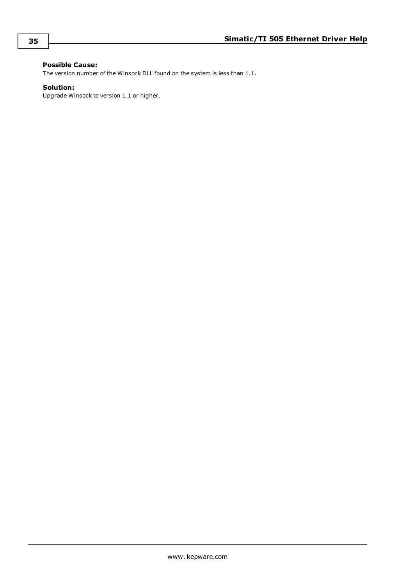### **Possible Cause:**

The version number of the Winsock DLL found on the system is less than 1.1.

### **Solution:**

Upgrade Winsock to version 1.1 or higher.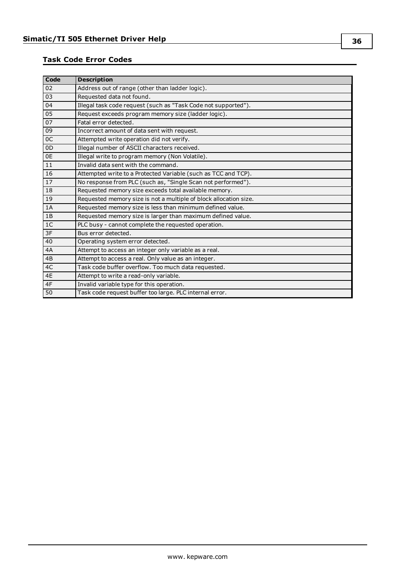### <span id="page-35-0"></span>**Task Code Error Codes**

| Code           | <b>Description</b>                                                |
|----------------|-------------------------------------------------------------------|
| 02             | Address out of range (other than ladder logic).                   |
| 03             | Requested data not found.                                         |
| 04             | Illegal task code request (such as "Task Code not supported").    |
| 05             | Request exceeds program memory size (ladder logic).               |
| 07             | Fatal error detected.                                             |
| 09             | Incorrect amount of data sent with request.                       |
| 0C             | Attempted write operation did not verify.                         |
| 0 <sub>D</sub> | Illegal number of ASCII characters received.                      |
| 0E             | Illegal write to program memory (Non Volatile).                   |
| 11             | Invalid data sent with the command.                               |
| 16             | Attempted write to a Protected Variable (such as TCC and TCP).    |
| 17             | No response from PLC (such as, "Single Scan not performed").      |
| 18             | Requested memory size exceeds total available memory.             |
| 19             | Requested memory size is not a multiple of block allocation size. |
| 1A             | Requested memory size is less than minimum defined value.         |
| 1B             | Requested memory size is larger than maximum defined value.       |
| 1 <sup>C</sup> | PLC busy - cannot complete the requested operation.               |
| 3F             | Bus error detected.                                               |
| 40             | Operating system error detected.                                  |
| 4A             | Attempt to access an integer only variable as a real.             |
| 4B             | Attempt to access a real. Only value as an integer.               |
| 4C             | Task code buffer overflow. Too much data requested.               |
| 4E             | Attempt to write a read-only variable.                            |
| 4F             | Invalid variable type for this operation.                         |
| 50             | Task code request buffer too large. PLC internal error.           |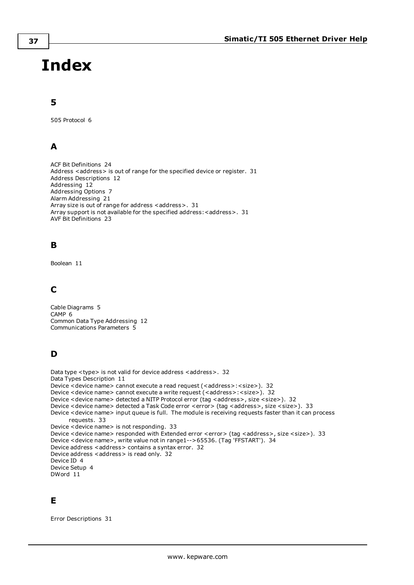# <span id="page-36-0"></span>**Index**

# **5**

505 Protocol [6](#page-5-0)

# **A**

ACF Bit Definitions [24](#page-23-0) Address <address> is out of range for the specified device or register. [31](#page-30-1) Address Descriptions [12](#page-11-0) Addressing [12](#page-11-1) Addressing Options [7](#page-6-0) Alarm Addressing [21](#page-20-0) Array size is out of range for address <address>. [31](#page-30-2) Array support is not available for the specified address: < address>. [31](#page-30-3) AVF Bit Definitions [23](#page-22-0)

# **B**

Boolean [11](#page-10-1)

# **C**

Cable Diagrams [5](#page-4-0) CAMP [6](#page-5-1) Common Data Type Addressing [12](#page-11-2) Communications Parameters [5](#page-4-1)

# **D**

```
32
Data Types Description 11
32
32
32
33
Device <device name> input queue is full. The module is receiving requests faster than it can process
  requests. 33
Device <device name> is not responding. 33
33
Device <device name>, write value not in range1-->65536. (Tag 'FFSTART'). 34
32
32
Device ID 4
Device Setup 4
DWord 11
```
# **E**

Error Descriptions [31](#page-30-0)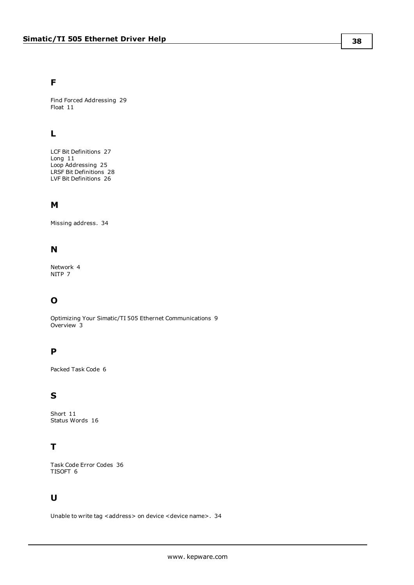### **F**

Find Forced Addressing [29](#page-28-0) Float [11](#page-10-3)

# **L**

LCF Bit Definitions [27](#page-26-0) Long [11](#page-10-4) Loop Addressing [25](#page-24-0) LRSF Bit Definitions [28](#page-27-0) LVF Bit Definitions [26](#page-25-0)

## **M**

Missing address. [34](#page-33-1)

# **N**

Network [4](#page-3-2) NITP [7](#page-6-1)

# **O**

Optimizing Your Simatic/TI 505 Ethernet Communications [9](#page-8-0) Overview [3](#page-2-1)

# **P**

Packed Task Code [6](#page-5-1)

# **S**

Short [11](#page-10-5) Status Words [16](#page-15-0)

# **T**

Task Code Error Codes [36](#page-35-0) TISOFT [6](#page-5-2)

# **U**

Unable to write tag <address> on device <device name>. [34](#page-33-2)